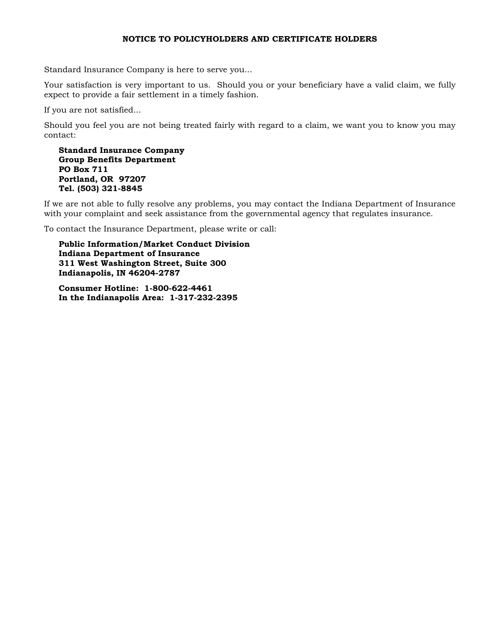#### NOTICE TO POLICYHOLDERS AND CERTIFICATE HOLDERS

Standard Insurance Company is here to serve you...

Your satisfaction is very important to us. Should you or your beneficiary have a valid claim, we fully expect to provide a fair settlement in a timely fashion.

If you are not satisfied...

Should you feel you are not being treated fairly with regard to a claim, we want you to know you may contact:

Standard Insurance Company Group Benefits Department PO Box 711 Portland, OR 97207 Tel. (503) 321-8845

If we are not able to fully resolve any problems, you may contact the Indiana Department of Insurance with your complaint and seek assistance from the governmental agency that regulates insurance.

To contact the Insurance Department, please write or call:

Public Information/Market Conduct Division Indiana Department of Insurance 311 West Washington Street, Suite 300 Indianapolis, IN 46204-2787

Consumer Hotline: 1-800-622-4461 In the Indianapolis Area: 1-317-232-2395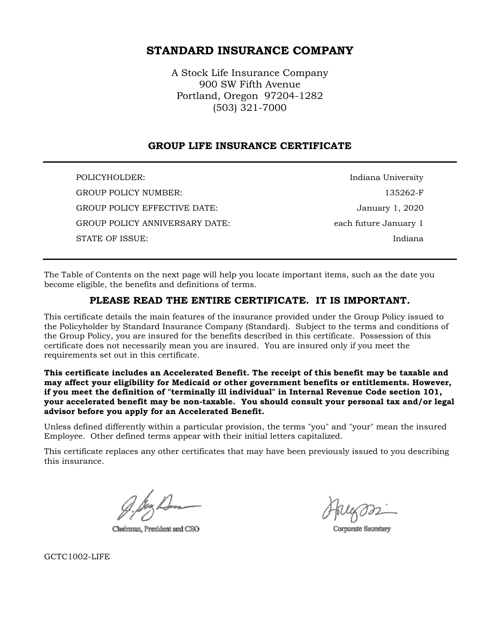# STANDARD INSURANCE COMPANY

A Stock Life Insurance Company 900 SW Fifth Avenue Portland, Oregon 97204-1282 (503) 321-7000

# GROUP LIFE INSURANCE CERTIFICATE

POLICYHOLDER: Indiana University GROUP POLICY NUMBER: 2008 135262-F GROUP POLICY EFFECTIVE DATE:  $J$  January 1, 2020 GROUP POLICY ANNIVERSARY DATE: each future January 1 STATE OF ISSUE: Indiana

The Table of Contents on the next page will help you locate important items, such as the date you become eligible, the benefits and definitions of terms.

# PLEASE READ THE ENTIRE CERTIFICATE. IT IS IMPORTANT.

This certificate details the main features of the insurance provided under the Group Policy issued to the Policyholder by Standard Insurance Company (Standard). Subject to the terms and conditions of the Group Policy, you are insured for the benefits described in this certificate. Possession of this certificate does not necessarily mean you are insured. You are insured only if you meet the requirements set out in this certificate.

This certificate includes an Accelerated Benefit. The receipt of this benefit may be taxable and may affect your eligibility for Medicaid or other government benefits or entitlements. However, if you meet the definition of "terminally ill individual" in Internal Revenue Code section 101, your accelerated benefit may be non-taxable. You should consult your personal tax and/or legal advisor before you apply for an Accelerated Benefit.

Unless defined differently within a particular provision, the terms "you" and "your" mean the insured Employee. Other defined terms appear with their initial letters capitalized.

This certificate replaces any other certificates that may have been previously issued to you describing this insurance.

Chairman, President and CBO

Corporate Secretary

GCTC1002-LIFE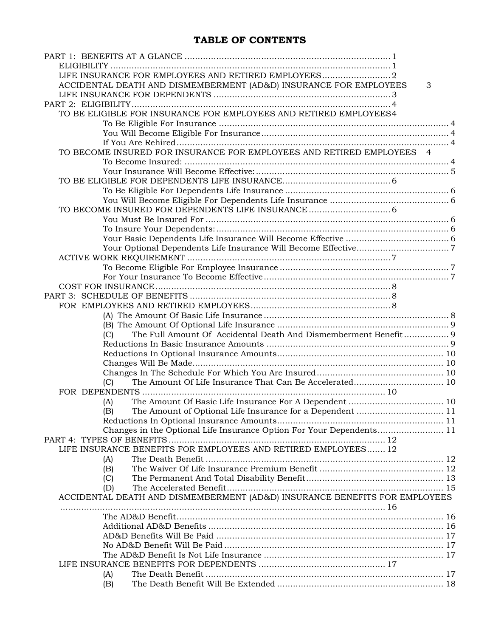# TABLE OF CONTENTS

| ACCIDENTAL DEATH AND DISMEMBERMENT (AD&D) INSURANCE FOR EMPLOYEES          | 3 |  |
|----------------------------------------------------------------------------|---|--|
|                                                                            |   |  |
|                                                                            |   |  |
| TO BE ELIGIBLE FOR INSURANCE FOR EMPLOYEES AND RETIRED EMPLOYEES4          |   |  |
|                                                                            |   |  |
|                                                                            |   |  |
|                                                                            |   |  |
|                                                                            |   |  |
| TO BECOME INSURED FOR INSURANCE FOR EMPLOYEES AND RETIRED EMPLOYEES 4      |   |  |
|                                                                            |   |  |
|                                                                            |   |  |
|                                                                            |   |  |
|                                                                            |   |  |
|                                                                            |   |  |
| TO BECOME INSURED FOR DEPENDENTS LIFE INSURANCE  6                         |   |  |
|                                                                            |   |  |
|                                                                            |   |  |
|                                                                            |   |  |
|                                                                            |   |  |
|                                                                            |   |  |
|                                                                            |   |  |
|                                                                            |   |  |
|                                                                            |   |  |
|                                                                            |   |  |
|                                                                            |   |  |
|                                                                            |   |  |
|                                                                            |   |  |
|                                                                            |   |  |
| The Full Amount Of Accidental Death And Dismemberment Benefit 9<br>(C)     |   |  |
|                                                                            |   |  |
|                                                                            |   |  |
|                                                                            |   |  |
|                                                                            |   |  |
| (C)                                                                        |   |  |
|                                                                            |   |  |
| (A)                                                                        |   |  |
| The Amount of Optional Life Insurance for a Dependent  11<br>(B)           |   |  |
|                                                                            |   |  |
| Changes in the Optional Life Insurance Option For Your Dependents 11       |   |  |
|                                                                            |   |  |
| LIFE INSURANCE BENEFITS FOR EMPLOYEES AND RETIRED EMPLOYEES 12             |   |  |
|                                                                            |   |  |
| (A)                                                                        |   |  |
| (B)                                                                        |   |  |
| (C)                                                                        |   |  |
| (D)                                                                        |   |  |
| ACCIDENTAL DEATH AND DISMEMBERMENT (AD&D) INSURANCE BENEFITS FOR EMPLOYEES |   |  |
|                                                                            |   |  |
|                                                                            |   |  |
|                                                                            |   |  |
|                                                                            |   |  |
|                                                                            |   |  |
|                                                                            |   |  |
|                                                                            |   |  |
| (A)                                                                        |   |  |
| (B)                                                                        |   |  |
|                                                                            |   |  |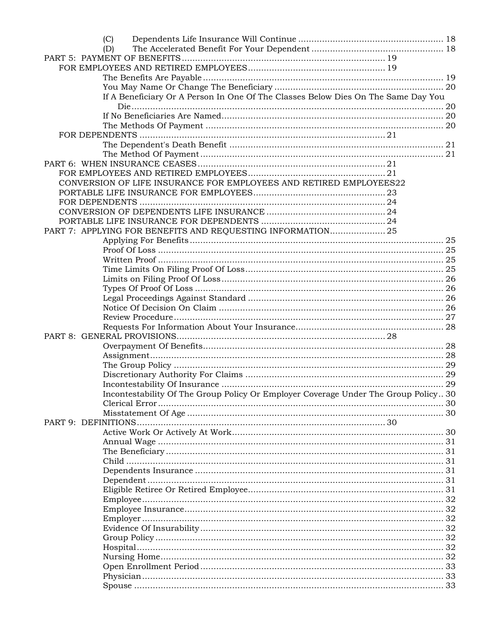| (C)                                                                                 |  |
|-------------------------------------------------------------------------------------|--|
| (D)                                                                                 |  |
|                                                                                     |  |
|                                                                                     |  |
|                                                                                     |  |
|                                                                                     |  |
| If A Beneficiary Or A Person In One Of The Classes Below Dies On The Same Day You   |  |
|                                                                                     |  |
|                                                                                     |  |
|                                                                                     |  |
|                                                                                     |  |
|                                                                                     |  |
|                                                                                     |  |
|                                                                                     |  |
|                                                                                     |  |
| CONVERSION OF LIFE INSURANCE FOR EMPLOYEES AND RETIRED EMPLOYEES22                  |  |
|                                                                                     |  |
|                                                                                     |  |
|                                                                                     |  |
|                                                                                     |  |
| PART 7: APPLYING FOR BENEFITS AND REQUESTING INFORMATION25                          |  |
|                                                                                     |  |
|                                                                                     |  |
|                                                                                     |  |
|                                                                                     |  |
|                                                                                     |  |
|                                                                                     |  |
|                                                                                     |  |
|                                                                                     |  |
|                                                                                     |  |
|                                                                                     |  |
|                                                                                     |  |
|                                                                                     |  |
|                                                                                     |  |
|                                                                                     |  |
|                                                                                     |  |
|                                                                                     |  |
| Incontestability Of The Group Policy Or Employer Coverage Under The Group Policy 30 |  |
|                                                                                     |  |
|                                                                                     |  |
| PART 9: DEFINITIONS                                                                 |  |
|                                                                                     |  |
|                                                                                     |  |
|                                                                                     |  |
|                                                                                     |  |
|                                                                                     |  |
|                                                                                     |  |
|                                                                                     |  |
|                                                                                     |  |
|                                                                                     |  |
|                                                                                     |  |
|                                                                                     |  |
|                                                                                     |  |
|                                                                                     |  |
|                                                                                     |  |
|                                                                                     |  |
|                                                                                     |  |
|                                                                                     |  |
|                                                                                     |  |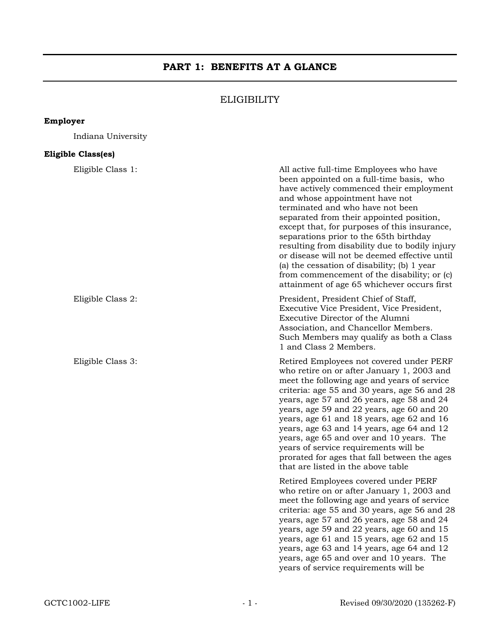# PART 1: BENEFITS AT A GLANCE

# **ELIGIBILITY**

# Employer

Indiana University

# Eligible Class(es)

| Eligible Class 1: | All active full-time Employees who have<br>been appointed on a full-time basis, who<br>have actively commenced their employment<br>and whose appointment have not<br>terminated and who have not been<br>separated from their appointed position,<br>except that, for purposes of this insurance,<br>separations prior to the 65th birthday<br>resulting from disability due to bodily injury<br>or disease will not be deemed effective until<br>(a) the cessation of disability; (b) 1 year<br>from commencement of the disability; or (c)<br>attainment of age 65 whichever occurs first |
|-------------------|---------------------------------------------------------------------------------------------------------------------------------------------------------------------------------------------------------------------------------------------------------------------------------------------------------------------------------------------------------------------------------------------------------------------------------------------------------------------------------------------------------------------------------------------------------------------------------------------|
| Eligible Class 2: | President, President Chief of Staff,<br>Executive Vice President, Vice President,<br>Executive Director of the Alumni<br>Association, and Chancellor Members.<br>Such Members may qualify as both a Class<br>1 and Class 2 Members.                                                                                                                                                                                                                                                                                                                                                         |
| Eligible Class 3: | Retired Employees not covered under PERF<br>who retire on or after January 1, 2003 and<br>meet the following age and years of service<br>criteria: age 55 and 30 years, age 56 and 28<br>years, age 57 and 26 years, age 58 and 24<br>years, age 59 and 22 years, age 60 and 20<br>years, age 61 and 18 years, age 62 and 16<br>years, age 63 and 14 years, age 64 and 12<br>years, age 65 and over and 10 years. The<br>years of service requirements will be<br>prorated for ages that fall between the ages<br>that are listed in the above table                                        |
|                   | Retired Employees covered under PERF<br>who retire on or after January 1, 2003 and<br>meet the following age and years of service<br>criteria: age 55 and 30 years, age 56 and 28<br>years, age 57 and 26 years, age 58 and 24<br>years, age 59 and 22 years, age 60 and 15<br>years, age 61 and 15 years, age 62 and 15<br>years, age 63 and 14 years, age 64 and 12<br>years, age 65 and over and 10 years. The<br>years of service requirements will be                                                                                                                                  |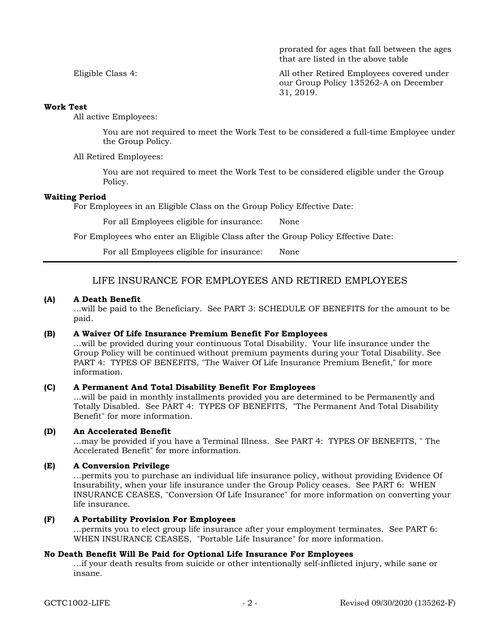prorated for ages that fall between the ages that are listed in the above table

Eligible Class 4: All other Retired Employees covered under our Group Policy 135262-A on December 31, 2019.

### Work Test

All active Employees:

You are not required to meet the Work Test to be considered a full-time Employee under the Group Policy.

All Retired Employees:

You are not required to meet the Work Test to be considered eligible under the Group Policy.

### Waiting Period

For Employees in an Eligible Class on the Group Policy Effective Date:

For all Employees eligible for insurance: None

For Employees who enter an Eligible Class after the Group Policy Effective Date:

For all Employees eligible for insurance: None

# LIFE INSURANCE FOR EMPLOYEES AND RETIRED EMPLOYEES

### (A) A Death Benefit

...will be paid to the Beneficiary. See PART 3: SCHEDULE OF BENEFITS for the amount to be paid.

#### (B) A Waiver Of Life Insurance Premium Benefit For Employees

...will be provided during your continuous Total Disability. Your life insurance under the Group Policy will be continued without premium payments during your Total Disability. See PART 4: TYPES OF BENEFITS, "The Waiver Of Life Insurance Premium Benefit," for more information.

### (C) A Permanent And Total Disability Benefit For Employees

...will be paid in monthly installments provided you are determined to be Permanently and Totally Disabled. See PART 4: TYPES OF BENEFITS, "The Permanent And Total Disability Benefit" for more information.

### (D) An Accelerated Benefit

...may be provided if you have a Terminal Illness. See PART 4: TYPES OF BENEFITS, " The Accelerated Benefit" for more information.

### (E) A Conversion Privilege

...permits you to purchase an individual life insurance policy, without providing Evidence Of Insurability, when your life insurance under the Group Policy ceases. See PART 6: WHEN INSURANCE CEASES, "Conversion Of Life Insurance" for more information on converting your life insurance.

#### (F) A Portability Provision For Employees

...permits you to elect group life insurance after your employment terminates. See PART 6: WHEN INSURANCE CEASES, "Portable Life Insurance" for more information.

### No Death Benefit Will Be Paid for Optional Life Insurance For Employees

...if your death results from suicide or other intentionally self-inflicted injury, while sane or insane.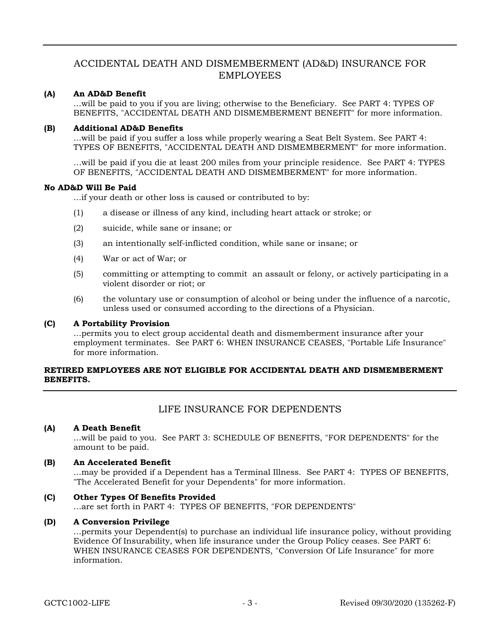# ACCIDENTAL DEATH AND DISMEMBERMENT (AD&D) INSURANCE FOR EMPLOYEES

### (A) An AD&D Benefit

...will be paid to you if you are living; otherwise to the Beneficiary. See PART 4: TYPES OF BENEFITS, "ACCIDENTAL DEATH AND DISMEMBERMENT BENEFIT" for more information.

### (B) Additional AD&D Benefits

...will be paid if you suffer a loss while properly wearing a Seat Belt System. See PART 4: TYPES OF BENEFITS, "ACCIDENTAL DEATH AND DISMEMBERMENT" for more information.

…will be paid if you die at least 200 miles from your principle residence. See PART 4: TYPES OF BENEFITS, "ACCIDENTAL DEATH AND DISMEMBERMENT" for more information.

### No AD&D Will Be Paid

...if your death or other loss is caused or contributed to by:

- (1) a disease or illness of any kind, including heart attack or stroke; or
- (2) suicide, while sane or insane; or
- (3) an intentionally self-inflicted condition, while sane or insane; or
- (4) War or act of War; or
- (5) committing or attempting to commit an assault or felony, or actively participating in a violent disorder or riot; or
- (6) the voluntary use or consumption of alcohol or being under the influence of a narcotic, unless used or consumed according to the directions of a Physician.

#### (C) A Portability Provision

...permits you to elect group accidental death and dismemberment insurance after your employment terminates. See PART 6: WHEN INSURANCE CEASES, "Portable Life Insurance" for more information.

### RETIRED EMPLOYEES ARE NOT ELIGIBLE FOR ACCIDENTAL DEATH AND DISMEMBERMENT BENEFITS.

# LIFE INSURANCE FOR DEPENDENTS

### (A) A Death Benefit

...will be paid to you. See PART 3: SCHEDULE OF BENEFITS, "FOR DEPENDENTS" for the amount to be paid.

#### (B) An Accelerated Benefit

...may be provided if a Dependent has a Terminal Illness. See PART 4: TYPES OF BENEFITS, "The Accelerated Benefit for your Dependents" for more information.

### (C) Other Types Of Benefits Provided

...are set forth in PART 4: TYPES OF BENEFITS, "FOR DEPENDENTS"

### (D) A Conversion Privilege

...permits your Dependent(s) to purchase an individual life insurance policy, without providing Evidence Of Insurability, when life insurance under the Group Policy ceases. See PART 6: WHEN INSURANCE CEASES FOR DEPENDENTS, "Conversion Of Life Insurance" for more information.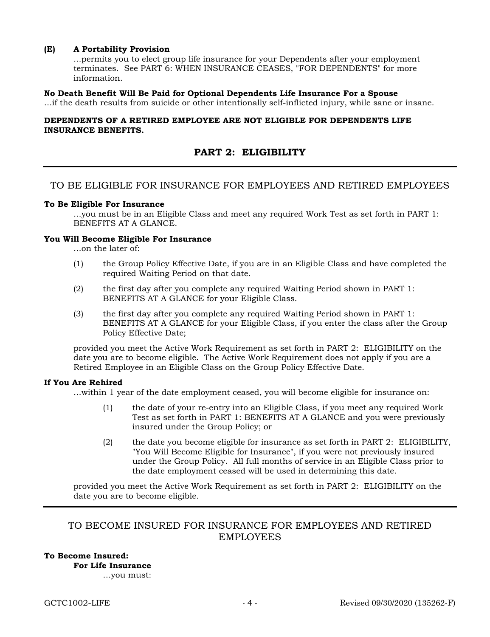### (E) A Portability Provision

...permits you to elect group life insurance for your Dependents after your employment terminates. See PART 6: WHEN INSURANCE CEASES, "FOR DEPENDENTS" for more information.

### No Death Benefit Will Be Paid for Optional Dependents Life Insurance For a Spouse

...if the death results from suicide or other intentionally self-inflicted injury, while sane or insane.

### DEPENDENTS OF A RETIRED EMPLOYEE ARE NOT ELIGIBLE FOR DEPENDENTS LIFE INSURANCE BENEFITS.

# PART 2: ELIGIBILITY

# TO BE ELIGIBLE FOR INSURANCE FOR EMPLOYEES AND RETIRED EMPLOYEES

#### To Be Eligible For Insurance

...you must be in an Eligible Class and meet any required Work Test as set forth in PART 1: BENEFITS AT A GLANCE.

### You Will Become Eligible For Insurance

...on the later of:

- (1) the Group Policy Effective Date, if you are in an Eligible Class and have completed the required Waiting Period on that date.
- (2) the first day after you complete any required Waiting Period shown in PART 1: BENEFITS AT A GLANCE for your Eligible Class.
- (3) the first day after you complete any required Waiting Period shown in PART 1: BENEFITS AT A GLANCE for your Eligible Class, if you enter the class after the Group Policy Effective Date;

provided you meet the Active Work Requirement as set forth in PART 2: ELIGIBILITY on the date you are to become eligible. The Active Work Requirement does not apply if you are a Retired Employee in an Eligible Class on the Group Policy Effective Date.

#### If You Are Rehired

...within 1 year of the date employment ceased, you will become eligible for insurance on:

- (1) the date of your re-entry into an Eligible Class, if you meet any required Work Test as set forth in PART 1: BENEFITS AT A GLANCE and you were previously insured under the Group Policy; or
- (2) the date you become eligible for insurance as set forth in PART 2: ELIGIBILITY, "You Will Become Eligible for Insurance", if you were not previously insured under the Group Policy. All full months of service in an Eligible Class prior to the date employment ceased will be used in determining this date.

provided you meet the Active Work Requirement as set forth in PART 2: ELIGIBILITY on the date you are to become eligible.

# TO BECOME INSURED FOR INSURANCE FOR EMPLOYEES AND RETIRED EMPLOYEES

# To Become Insured:

For Life Insurance

…you must: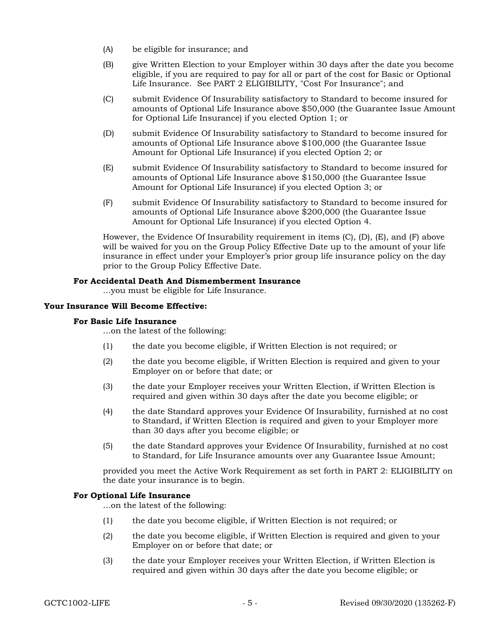- (A) be eligible for insurance; and
- (B) give Written Election to your Employer within 30 days after the date you become eligible, if you are required to pay for all or part of the cost for Basic or Optional Life Insurance. See PART 2 ELIGIBILITY, "Cost For Insurance"; and
- (C) submit Evidence Of Insurability satisfactory to Standard to become insured for amounts of Optional Life Insurance above \$50,000 (the Guarantee Issue Amount for Optional Life Insurance) if you elected Option 1; or
- (D) submit Evidence Of Insurability satisfactory to Standard to become insured for amounts of Optional Life Insurance above \$100,000 (the Guarantee Issue Amount for Optional Life Insurance) if you elected Option 2; or
- (E) submit Evidence Of Insurability satisfactory to Standard to become insured for amounts of Optional Life Insurance above \$150,000 (the Guarantee Issue Amount for Optional Life Insurance) if you elected Option 3; or
- (F) submit Evidence Of Insurability satisfactory to Standard to become insured for amounts of Optional Life Insurance above \$200,000 (the Guarantee Issue Amount for Optional Life Insurance) if you elected Option 4.

However, the Evidence Of Insurability requirement in items (C), (D), (E), and (F) above will be waived for you on the Group Policy Effective Date up to the amount of your life insurance in effect under your Employer's prior group life insurance policy on the day prior to the Group Policy Effective Date.

### For Accidental Death And Dismemberment Insurance

…you must be eligible for Life Insurance.

### Your Insurance Will Become Effective:

### For Basic Life Insurance

…on the latest of the following:

- (1) the date you become eligible, if Written Election is not required; or
- (2) the date you become eligible, if Written Election is required and given to your Employer on or before that date; or
- (3) the date your Employer receives your Written Election, if Written Election is required and given within 30 days after the date you become eligible; or
- (4) the date Standard approves your Evidence Of Insurability, furnished at no cost to Standard, if Written Election is required and given to your Employer more than 30 days after you become eligible; or
- (5) the date Standard approves your Evidence Of Insurability, furnished at no cost to Standard, for Life Insurance amounts over any Guarantee Issue Amount;

provided you meet the Active Work Requirement as set forth in PART 2: ELIGIBILITY on the date your insurance is to begin.

### For Optional Life Insurance

…on the latest of the following:

- (1) the date you become eligible, if Written Election is not required; or
- (2) the date you become eligible, if Written Election is required and given to your Employer on or before that date; or
- (3) the date your Employer receives your Written Election, if Written Election is required and given within 30 days after the date you become eligible; or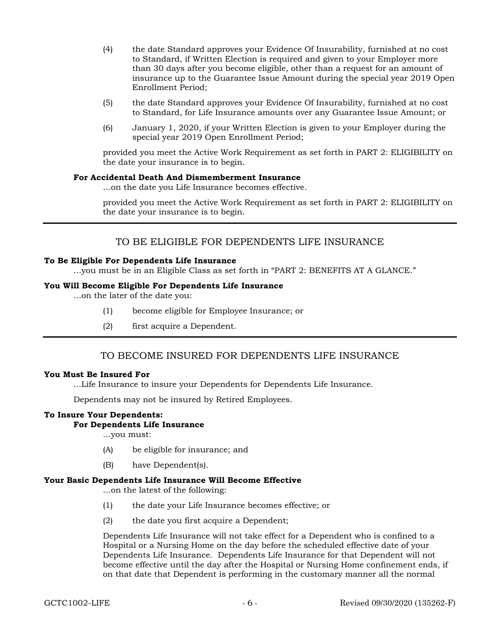- (4) the date Standard approves your Evidence Of Insurability, furnished at no cost to Standard, if Written Election is required and given to your Employer more than 30 days after you become eligible, other than a request for an amount of insurance up to the Guarantee Issue Amount during the special year 2019 Open Enrollment Period;
- (5) the date Standard approves your Evidence Of Insurability, furnished at no cost to Standard, for Life Insurance amounts over any Guarantee Issue Amount; or
- (6) January 1, 2020, if your Written Election is given to your Employer during the special year 2019 Open Enrollment Period;

provided you meet the Active Work Requirement as set forth in PART 2: ELIGIBILITY on the date your insurance is to begin.

#### For Accidental Death And Dismemberment Insurance

…on the date you Life Insurance becomes effective.

provided you meet the Active Work Requirement as set forth in PART 2: ELIGIBILITY on the date your insurance is to begin.

# TO BE ELIGIBLE FOR DEPENDENTS LIFE INSURANCE

#### To Be Eligible For Dependents Life Insurance

...you must be in an Eligible Class as set forth in "PART 2: BENEFITS AT A GLANCE."

### You Will Become Eligible For Dependents Life Insurance

...on the later of the date you:

- (1) become eligible for Employee Insurance; or
- (2) first acquire a Dependent.

# TO BECOME INSURED FOR DEPENDENTS LIFE INSURANCE

#### You Must Be Insured For

...Life Insurance to insure your Dependents for Dependents Life Insurance.

Dependents may not be insured by Retired Employees.

### To Insure Your Dependents:

### For Dependents Life Insurance

…you must:

- (A) be eligible for insurance; and
- (B) have Dependent(s).

### Your Basic Dependents Life Insurance Will Become Effective

…on the latest of the following:

- (1) the date your Life Insurance becomes effective; or
- (2) the date you first acquire a Dependent;

Dependents Life Insurance will not take effect for a Dependent who is confined to a Hospital or a Nursing Home on the day before the scheduled effective date of your Dependents Life Insurance. Dependents Life Insurance for that Dependent will not become effective until the day after the Hospital or Nursing Home confinement ends, if on that date that Dependent is performing in the customary manner all the normal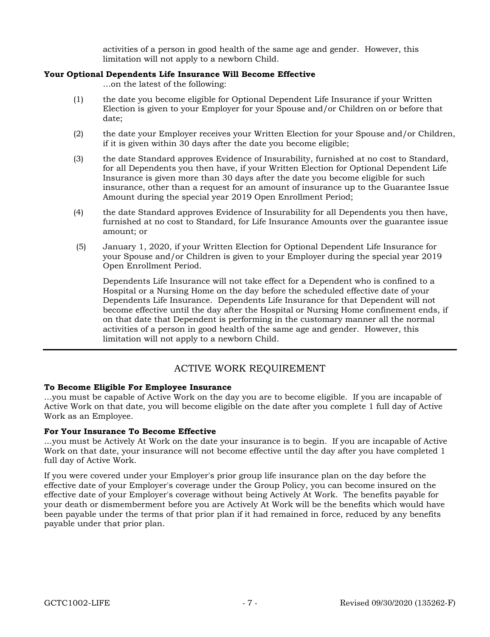activities of a person in good health of the same age and gender. However, this limitation will not apply to a newborn Child.

### Your Optional Dependents Life Insurance Will Become Effective

…on the latest of the following:

- (1) the date you become eligible for Optional Dependent Life Insurance if your Written Election is given to your Employer for your Spouse and/or Children on or before that date;
- (2) the date your Employer receives your Written Election for your Spouse and/or Children, if it is given within 30 days after the date you become eligible;
- (3) the date Standard approves Evidence of Insurability, furnished at no cost to Standard, for all Dependents you then have, if your Written Election for Optional Dependent Life Insurance is given more than 30 days after the date you become eligible for such insurance, other than a request for an amount of insurance up to the Guarantee Issue Amount during the special year 2019 Open Enrollment Period;
- (4) the date Standard approves Evidence of Insurability for all Dependents you then have, furnished at no cost to Standard, for Life Insurance Amounts over the guarantee issue amount; or
- (5) January 1, 2020, if your Written Election for Optional Dependent Life Insurance for your Spouse and/or Children is given to your Employer during the special year 2019 Open Enrollment Period.

Dependents Life Insurance will not take effect for a Dependent who is confined to a Hospital or a Nursing Home on the day before the scheduled effective date of your Dependents Life Insurance. Dependents Life Insurance for that Dependent will not become effective until the day after the Hospital or Nursing Home confinement ends, if on that date that Dependent is performing in the customary manner all the normal activities of a person in good health of the same age and gender. However, this limitation will not apply to a newborn Child.

# ACTIVE WORK REQUIREMENT

### To Become Eligible For Employee Insurance

...you must be capable of Active Work on the day you are to become eligible. If you are incapable of Active Work on that date, you will become eligible on the date after you complete 1 full day of Active Work as an Employee.

### For Your Insurance To Become Effective

...you must be Actively At Work on the date your insurance is to begin. If you are incapable of Active Work on that date, your insurance will not become effective until the day after you have completed 1 full day of Active Work.

If you were covered under your Employer's prior group life insurance plan on the day before the effective date of your Employer's coverage under the Group Policy, you can become insured on the effective date of your Employer's coverage without being Actively At Work. The benefits payable for your death or dismemberment before you are Actively At Work will be the benefits which would have been payable under the terms of that prior plan if it had remained in force, reduced by any benefits payable under that prior plan.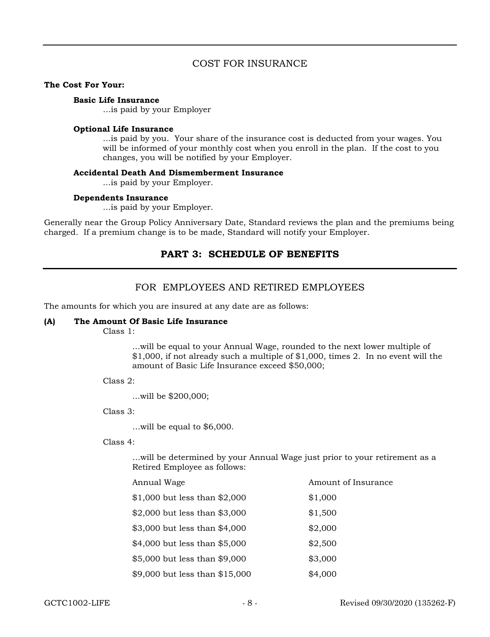# COST FOR INSURANCE

#### The Cost For Your:

#### Basic Life Insurance

…is paid by your Employer

#### Optional Life Insurance

...is paid by you. Your share of the insurance cost is deducted from your wages. You will be informed of your monthly cost when you enroll in the plan. If the cost to you changes, you will be notified by your Employer.

### Accidental Death And Dismemberment Insurance

...is paid by your Employer.

### Dependents Insurance

...is paid by your Employer.

Generally near the Group Policy Anniversary Date, Standard reviews the plan and the premiums being charged. If a premium change is to be made, Standard will notify your Employer.

# PART 3: SCHEDULE OF BENEFITS

# FOR EMPLOYEES AND RETIRED EMPLOYEES

The amounts for which you are insured at any date are as follows:

#### (A) The Amount Of Basic Life Insurance

Class 1:

...will be equal to your Annual Wage, rounded to the next lower multiple of \$1,000, if not already such a multiple of \$1,000, times 2. In no event will the amount of Basic Life Insurance exceed \$50,000;

Class 2:

...will be \$200,000;

Class 3:

…will be equal to \$6,000.

### Class 4:

…will be determined by your Annual Wage just prior to your retirement as a Retired Employee as follows:

| Annual Wage                     | Amount of Insurance |
|---------------------------------|---------------------|
| $$1,000$ but less than $$2,000$ | \$1,000             |
| \$2,000 but less than $$3,000$  | \$1,500             |
| \$3,000 but less than \$4,000   | \$2,000             |
| \$4,000 but less than \$5,000   | \$2,500             |
| \$5,000 but less than \$9,000   | \$3,000             |
| \$9,000 but less than \$15,000  | \$4,000             |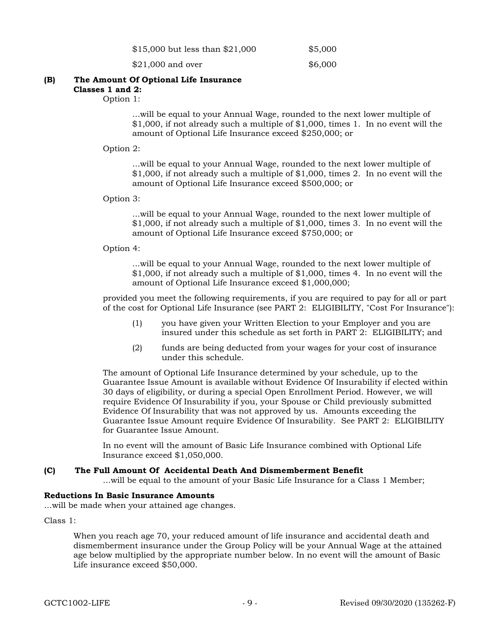| $$15,000$ but less than $$21,000$ |  |  | \$5,000 |
|-----------------------------------|--|--|---------|
|                                   |  |  |         |

\$21,000 and over \$6,000

#### (B) The Amount Of Optional Life Insurance Classes 1 and 2:

Option 1:

...will be equal to your Annual Wage, rounded to the next lower multiple of \$1,000, if not already such a multiple of \$1,000, times 1. In no event will the amount of Optional Life Insurance exceed \$250,000; or

### Option 2:

...will be equal to your Annual Wage, rounded to the next lower multiple of \$1,000, if not already such a multiple of \$1,000, times 2. In no event will the amount of Optional Life Insurance exceed \$500,000; or

### Option 3:

...will be equal to your Annual Wage, rounded to the next lower multiple of \$1,000, if not already such a multiple of \$1,000, times 3. In no event will the amount of Optional Life Insurance exceed \$750,000; or

Option 4:

...will be equal to your Annual Wage, rounded to the next lower multiple of \$1,000, if not already such a multiple of \$1,000, times 4. In no event will the amount of Optional Life Insurance exceed \$1,000,000;

provided you meet the following requirements, if you are required to pay for all or part of the cost for Optional Life Insurance (see PART 2: ELIGIBILITY, "Cost For Insurance"):

- (1) you have given your Written Election to your Employer and you are insured under this schedule as set forth in PART 2: ELIGIBILITY; and
- (2) funds are being deducted from your wages for your cost of insurance under this schedule.

The amount of Optional Life Insurance determined by your schedule, up to the Guarantee Issue Amount is available without Evidence Of Insurability if elected within 30 days of eligibility, or during a special Open Enrollment Period. However, we will require Evidence Of Insurability if you, your Spouse or Child previously submitted Evidence Of Insurability that was not approved by us. Amounts exceeding the Guarantee Issue Amount require Evidence Of Insurability. See PART 2: ELIGIBILITY for Guarantee Issue Amount.

In no event will the amount of Basic Life Insurance combined with Optional Life Insurance exceed \$1,050,000.

### (C) The Full Amount Of Accidental Death And Dismemberment Benefit

...will be equal to the amount of your Basic Life Insurance for a Class 1 Member;

### Reductions In Basic Insurance Amounts

...will be made when your attained age changes.

Class 1:

When you reach age 70, your reduced amount of life insurance and accidental death and dismemberment insurance under the Group Policy will be your Annual Wage at the attained age below multiplied by the appropriate number below. In no event will the amount of Basic Life insurance exceed \$50,000.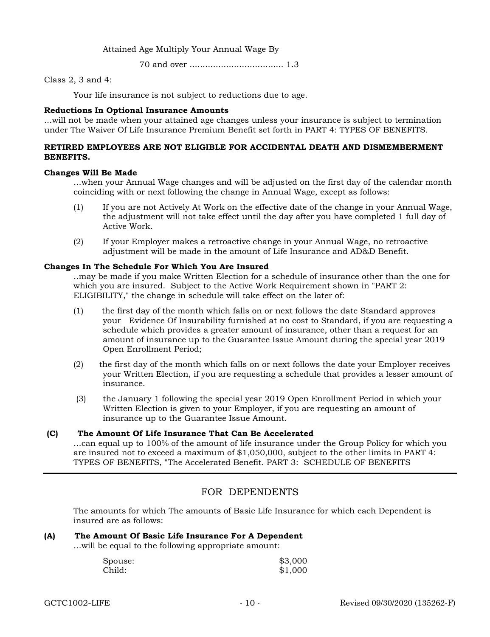Attained Age Multiply Your Annual Wage By

70 and over .................................... 1.3

Class 2, 3 and 4:

Your life insurance is not subject to reductions due to age.

### Reductions In Optional Insurance Amounts

...will not be made when your attained age changes unless your insurance is subject to termination under The Waiver Of Life Insurance Premium Benefit set forth in PART 4: TYPES OF BENEFITS.

### RETIRED EMPLOYEES ARE NOT ELIGIBLE FOR ACCIDENTAL DEATH AND DISMEMBERMENT BENEFITS.

### Changes Will Be Made

...when your Annual Wage changes and will be adjusted on the first day of the calendar month coinciding with or next following the change in Annual Wage, except as follows:

- (1) If you are not Actively At Work on the effective date of the change in your Annual Wage, the adjustment will not take effect until the day after you have completed 1 full day of Active Work.
- (2) If your Employer makes a retroactive change in your Annual Wage, no retroactive adjustment will be made in the amount of Life Insurance and AD&D Benefit.

### Changes In The Schedule For Which You Are Insured

..may be made if you make Written Election for a schedule of insurance other than the one for which you are insured. Subject to the Active Work Requirement shown in "PART 2: ELIGIBILITY," the change in schedule will take effect on the later of:

- (1) the first day of the month which falls on or next follows the date Standard approves your Evidence Of Insurability furnished at no cost to Standard, if you are requesting a schedule which provides a greater amount of insurance, other than a request for an amount of insurance up to the Guarantee Issue Amount during the special year 2019 Open Enrollment Period;
- (2) the first day of the month which falls on or next follows the date your Employer receives your Written Election, if you are requesting a schedule that provides a lesser amount of insurance.
- (3) the January 1 following the special year 2019 Open Enrollment Period in which your Written Election is given to your Employer, if you are requesting an amount of insurance up to the Guarantee Issue Amount.

### (C) The Amount Of Life Insurance That Can Be Accelerated

...can equal up to 100% of the amount of life insurance under the Group Policy for which you are insured not to exceed a maximum of \$1,050,000, subject to the other limits in PART 4: TYPES OF BENEFITS, "The Accelerated Benefit. PART 3: SCHEDULE OF BENEFITS

# FOR DEPENDENTS

The amounts for which The amounts of Basic Life Insurance for which each Dependent is insured are as follows:

### (A) The Amount Of Basic Life Insurance For A Dependent

...will be equal to the following appropriate amount:

| Spouse: | \$3,000 |
|---------|---------|
| Child:  | \$1,000 |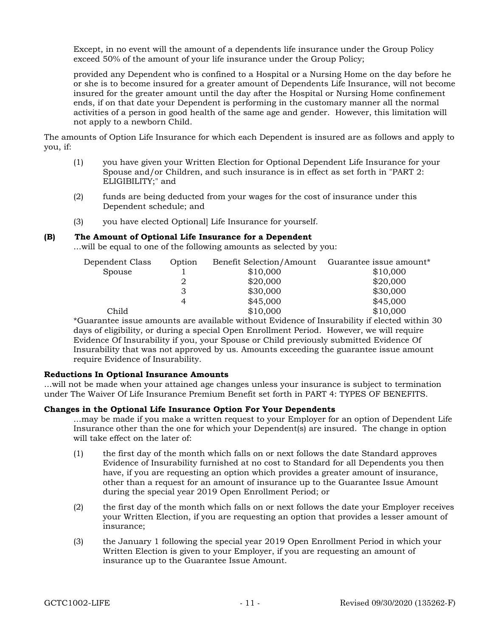Except, in no event will the amount of a dependents life insurance under the Group Policy exceed 50% of the amount of your life insurance under the Group Policy;

provided any Dependent who is confined to a Hospital or a Nursing Home on the day before he or she is to become insured for a greater amount of Dependents Life Insurance, will not become insured for the greater amount until the day after the Hospital or Nursing Home confinement ends, if on that date your Dependent is performing in the customary manner all the normal activities of a person in good health of the same age and gender. However, this limitation will not apply to a newborn Child.

The amounts of Option Life Insurance for which each Dependent is insured are as follows and apply to you, if:

- (1) you have given your Written Election for Optional Dependent Life Insurance for your Spouse and/or Children, and such insurance is in effect as set forth in "PART 2: ELIGIBILITY;" and
- (2) funds are being deducted from your wages for the cost of insurance under this Dependent schedule; and
- (3) you have elected Optional] Life Insurance for yourself.

### (B) The Amount of Optional Life Insurance for a Dependent

...will be equal to one of the following amounts as selected by you:

| Dependent Class | Option | Benefit Selection/Amount | Guarantee issue amount* |
|-----------------|--------|--------------------------|-------------------------|
| Spouse          |        | \$10,000                 | \$10,000                |
|                 |        | \$20,000                 | \$20,000                |
|                 |        | \$30,000                 | \$30,000                |
|                 |        | \$45,000                 | \$45,000                |
| Child           |        | \$10,000                 | \$10,000                |

\*Guarantee issue amounts are available without Evidence of Insurability if elected within 30 days of eligibility, or during a special Open Enrollment Period. However, we will require Evidence Of Insurability if you, your Spouse or Child previously submitted Evidence Of Insurability that was not approved by us. Amounts exceeding the guarantee issue amount require Evidence of Insurability.

### Reductions In Optional Insurance Amounts

...will not be made when your attained age changes unless your insurance is subject to termination under The Waiver Of Life Insurance Premium Benefit set forth in PART 4: TYPES OF BENEFITS.

### Changes in the Optional Life Insurance Option For Your Dependents

...may be made if you make a written request to your Employer for an option of Dependent Life Insurance other than the one for which your Dependent(s) are insured. The change in option will take effect on the later of:

- (1) the first day of the month which falls on or next follows the date Standard approves Evidence of Insurability furnished at no cost to Standard for all Dependents you then have, if you are requesting an option which provides a greater amount of insurance, other than a request for an amount of insurance up to the Guarantee Issue Amount during the special year 2019 Open Enrollment Period; or
- (2) the first day of the month which falls on or next follows the date your Employer receives your Written Election, if you are requesting an option that provides a lesser amount of insurance;
- (3) the January 1 following the special year 2019 Open Enrollment Period in which your Written Election is given to your Employer, if you are requesting an amount of insurance up to the Guarantee Issue Amount.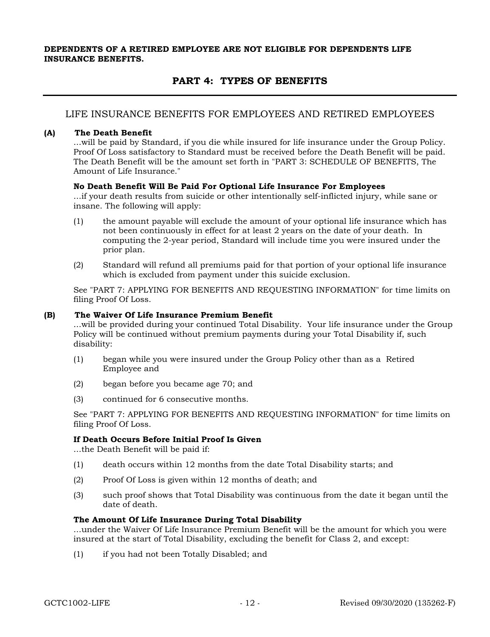### DEPENDENTS OF A RETIRED EMPLOYEE ARE NOT ELIGIBLE FOR DEPENDENTS LIFE INSURANCE BENEFITS.

# PART 4: TYPES OF BENEFITS

## LIFE INSURANCE BENEFITS FOR EMPLOYEES AND RETIRED EMPLOYEES

### (A) The Death Benefit

...will be paid by Standard, if you die while insured for life insurance under the Group Policy. Proof Of Loss satisfactory to Standard must be received before the Death Benefit will be paid. The Death Benefit will be the amount set forth in "PART 3: SCHEDULE OF BENEFITS, The Amount of Life Insurance."

### No Death Benefit Will Be Paid For Optional Life Insurance For Employees

...if your death results from suicide or other intentionally self-inflicted injury, while sane or insane. The following will apply:

- (1) the amount payable will exclude the amount of your optional life insurance which has not been continuously in effect for at least 2 years on the date of your death. In computing the 2-year period, Standard will include time you were insured under the prior plan.
- (2) Standard will refund all premiums paid for that portion of your optional life insurance which is excluded from payment under this suicide exclusion.

See "PART 7: APPLYING FOR BENEFITS AND REQUESTING INFORMATION" for time limits on filing Proof Of Loss.

### (B) The Waiver Of Life Insurance Premium Benefit

...will be provided during your continued Total Disability. Your life insurance under the Group Policy will be continued without premium payments during your Total Disability if, such disability:

- (1) began while you were insured under the Group Policy other than as a Retired Employee and
- (2) began before you became age 70; and
- (3) continued for 6 consecutive months.

See "PART 7: APPLYING FOR BENEFITS AND REQUESTING INFORMATION" for time limits on filing Proof Of Loss.

#### If Death Occurs Before Initial Proof Is Given

...the Death Benefit will be paid if:

- (1) death occurs within 12 months from the date Total Disability starts; and
- (2) Proof Of Loss is given within 12 months of death; and
- (3) such proof shows that Total Disability was continuous from the date it began until the date of death.

#### The Amount Of Life Insurance During Total Disability

...under the Waiver Of Life Insurance Premium Benefit will be the amount for which you were insured at the start of Total Disability, excluding the benefit for Class 2, and except:

(1) if you had not been Totally Disabled; and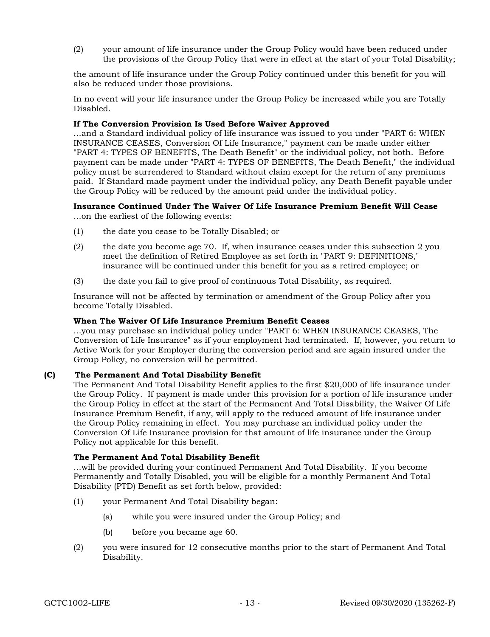(2) your amount of life insurance under the Group Policy would have been reduced under the provisions of the Group Policy that were in effect at the start of your Total Disability;

the amount of life insurance under the Group Policy continued under this benefit for you will also be reduced under those provisions.

In no event will your life insurance under the Group Policy be increased while you are Totally Disabled.

### If The Conversion Provision Is Used Before Waiver Approved

...and a Standard individual policy of life insurance was issued to you under "PART 6: WHEN INSURANCE CEASES, Conversion Of Life Insurance," payment can be made under either "PART 4: TYPES OF BENEFITS, The Death Benefit" or the individual policy, not both. Before payment can be made under "PART 4: TYPES OF BENEFITS, The Death Benefit," the individual policy must be surrendered to Standard without claim except for the return of any premiums paid. If Standard made payment under the individual policy, any Death Benefit payable under the Group Policy will be reduced by the amount paid under the individual policy.

### Insurance Continued Under The Waiver Of Life Insurance Premium Benefit Will Cease

...on the earliest of the following events:

- (1) the date you cease to be Totally Disabled; or
- (2) the date you become age 70. If, when insurance ceases under this subsection 2 you meet the definition of Retired Employee as set forth in "PART 9: DEFINITIONS," insurance will be continued under this benefit for you as a retired employee; or
- (3) the date you fail to give proof of continuous Total Disability, as required.

Insurance will not be affected by termination or amendment of the Group Policy after you become Totally Disabled.

#### When The Waiver Of Life Insurance Premium Benefit Ceases

...you may purchase an individual policy under "PART 6: WHEN INSURANCE CEASES, The Conversion of Life Insurance" as if your employment had terminated. If, however, you return to Active Work for your Employer during the conversion period and are again insured under the Group Policy, no conversion will be permitted.

### (C) The Permanent And Total Disability Benefit

The Permanent And Total Disability Benefit applies to the first \$20,000 of life insurance under the Group Policy. If payment is made under this provision for a portion of life insurance under the Group Policy in effect at the start of the Permanent And Total Disability, the Waiver Of Life Insurance Premium Benefit, if any, will apply to the reduced amount of life insurance under the Group Policy remaining in effect. You may purchase an individual policy under the Conversion Of Life Insurance provision for that amount of life insurance under the Group Policy not applicable for this benefit.

#### The Permanent And Total Disability Benefit

...will be provided during your continued Permanent And Total Disability. If you become Permanently and Totally Disabled, you will be eligible for a monthly Permanent And Total Disability (PTD) Benefit as set forth below, provided:

- (1) your Permanent And Total Disability began:
	- (a) while you were insured under the Group Policy; and
	- (b) before you became age 60.
- (2) you were insured for 12 consecutive months prior to the start of Permanent And Total Disability.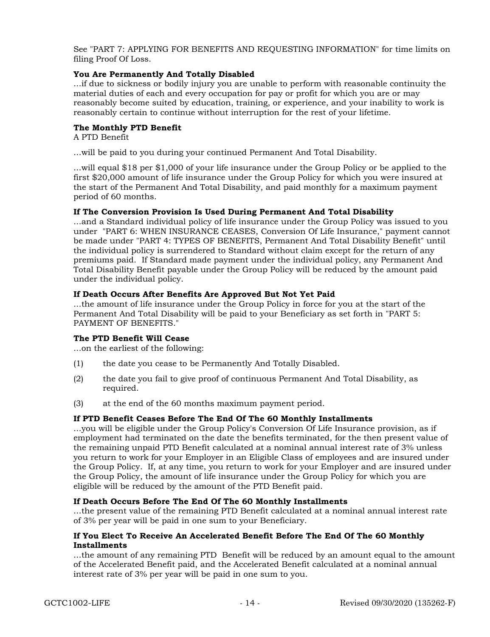See "PART 7: APPLYING FOR BENEFITS AND REQUESTING INFORMATION" for time limits on filing Proof Of Loss.

### You Are Permanently And Totally Disabled

...if due to sickness or bodily injury you are unable to perform with reasonable continuity the material duties of each and every occupation for pay or profit for which you are or may reasonably become suited by education, training, or experience, and your inability to work is reasonably certain to continue without interruption for the rest of your lifetime.

### The Monthly PTD Benefit

A PTD Benefit

...will be paid to you during your continued Permanent And Total Disability.

...will equal \$18 per \$1,000 of your life insurance under the Group Policy or be applied to the first \$20,000 amount of life insurance under the Group Policy for which you were insured at the start of the Permanent And Total Disability, and paid monthly for a maximum payment period of 60 months.

#### If The Conversion Provision Is Used During Permanent And Total Disability

...and a Standard individual policy of life insurance under the Group Policy was issued to you under "PART 6: WHEN INSURANCE CEASES, Conversion Of Life Insurance," payment cannot be made under "PART 4: TYPES OF BENEFITS, Permanent And Total Disability Benefit" until the individual policy is surrendered to Standard without claim except for the return of any premiums paid. If Standard made payment under the individual policy, any Permanent And Total Disability Benefit payable under the Group Policy will be reduced by the amount paid under the individual policy.

### If Death Occurs After Benefits Are Approved But Not Yet Paid

...the amount of life insurance under the Group Policy in force for you at the start of the Permanent And Total Disability will be paid to your Beneficiary as set forth in "PART 5: PAYMENT OF BENEFITS."

#### The PTD Benefit Will Cease

...on the earliest of the following:

- (1) the date you cease to be Permanently And Totally Disabled.
- (2) the date you fail to give proof of continuous Permanent And Total Disability, as required.
- (3) at the end of the 60 months maximum payment period.

#### If PTD Benefit Ceases Before The End Of The 60 Monthly Installments

...you will be eligible under the Group Policy's Conversion Of Life Insurance provision, as if employment had terminated on the date the benefits terminated, for the then present value of the remaining unpaid PTD Benefit calculated at a nominal annual interest rate of 3% unless you return to work for your Employer in an Eligible Class of employees and are insured under the Group Policy. If, at any time, you return to work for your Employer and are insured under the Group Policy, the amount of life insurance under the Group Policy for which you are eligible will be reduced by the amount of the PTD Benefit paid.

#### If Death Occurs Before The End Of The 60 Monthly Installments

...the present value of the remaining PTD Benefit calculated at a nominal annual interest rate of 3% per year will be paid in one sum to your Beneficiary.

### If You Elect To Receive An Accelerated Benefit Before The End Of The 60 Monthly Installments

...the amount of any remaining PTD Benefit will be reduced by an amount equal to the amount of the Accelerated Benefit paid, and the Accelerated Benefit calculated at a nominal annual interest rate of 3% per year will be paid in one sum to you.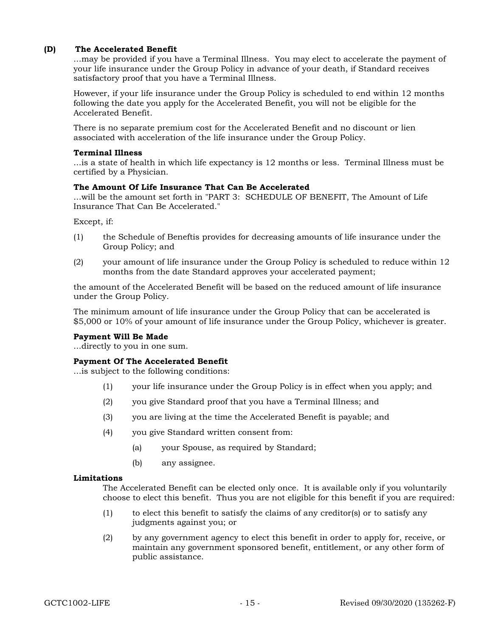### (D) The Accelerated Benefit

...may be provided if you have a Terminal Illness. You may elect to accelerate the payment of your life insurance under the Group Policy in advance of your death, if Standard receives satisfactory proof that you have a Terminal Illness.

However, if your life insurance under the Group Policy is scheduled to end within 12 months following the date you apply for the Accelerated Benefit, you will not be eligible for the Accelerated Benefit.

There is no separate premium cost for the Accelerated Benefit and no discount or lien associated with acceleration of the life insurance under the Group Policy.

#### Terminal Illness

...is a state of health in which life expectancy is 12 months or less. Terminal Illness must be certified by a Physician.

#### The Amount Of Life Insurance That Can Be Accelerated

...will be the amount set forth in "PART 3: SCHEDULE OF BENEFIT, The Amount of Life Insurance That Can Be Accelerated."

Except, if:

- (1) the Schedule of Beneftis provides for decreasing amounts of life insurance under the Group Policy; and
- (2) your amount of life insurance under the Group Policy is scheduled to reduce within 12 months from the date Standard approves your accelerated payment;

the amount of the Accelerated Benefit will be based on the reduced amount of life insurance under the Group Policy.

The minimum amount of life insurance under the Group Policy that can be accelerated is \$5,000 or 10% of your amount of life insurance under the Group Policy, whichever is greater.

#### Payment Will Be Made

...directly to you in one sum.

### Payment Of The Accelerated Benefit

...is subject to the following conditions:

- (1) your life insurance under the Group Policy is in effect when you apply; and
- (2) you give Standard proof that you have a Terminal Illness; and
- (3) you are living at the time the Accelerated Benefit is payable; and
- (4) you give Standard written consent from:
	- (a) your Spouse, as required by Standard;
	- (b) any assignee.

#### Limitations

The Accelerated Benefit can be elected only once. It is available only if you voluntarily choose to elect this benefit. Thus you are not eligible for this benefit if you are required:

- (1) to elect this benefit to satisfy the claims of any creditor(s) or to satisfy any judgments against you; or
- (2) by any government agency to elect this benefit in order to apply for, receive, or maintain any government sponsored benefit, entitlement, or any other form of public assistance.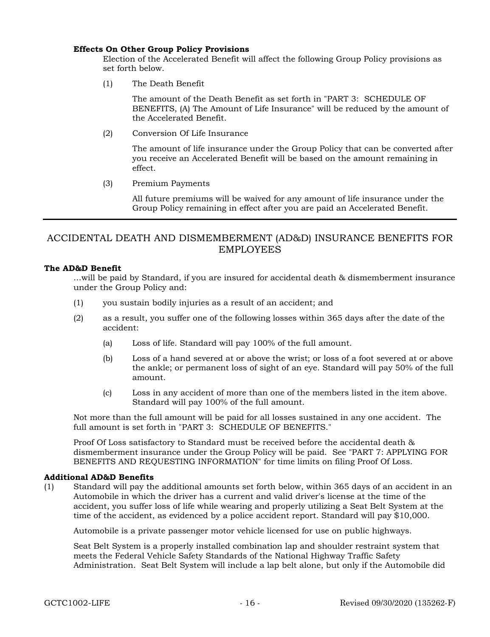### Effects On Other Group Policy Provisions

Election of the Accelerated Benefit will affect the following Group Policy provisions as set forth below.

(1) The Death Benefit

The amount of the Death Benefit as set forth in "PART 3: SCHEDULE OF BENEFITS, (A) The Amount of Life Insurance" will be reduced by the amount of the Accelerated Benefit.

(2) Conversion Of Life Insurance

The amount of life insurance under the Group Policy that can be converted after you receive an Accelerated Benefit will be based on the amount remaining in effect.

(3) Premium Payments

All future premiums will be waived for any amount of life insurance under the Group Policy remaining in effect after you are paid an Accelerated Benefit.

# ACCIDENTAL DEATH AND DISMEMBERMENT (AD&D) INSURANCE BENEFITS FOR EMPLOYEES

### The AD&D Benefit

...will be paid by Standard, if you are insured for accidental death & dismemberment insurance under the Group Policy and:

- (1) you sustain bodily injuries as a result of an accident; and
- (2) as a result, you suffer one of the following losses within 365 days after the date of the accident:
	- (a) Loss of life. Standard will pay 100% of the full amount.
	- (b) Loss of a hand severed at or above the wrist; or loss of a foot severed at or above the ankle; or permanent loss of sight of an eye. Standard will pay 50% of the full amount.
	- (c) Loss in any accident of more than one of the members listed in the item above. Standard will pay 100% of the full amount.

Not more than the full amount will be paid for all losses sustained in any one accident. The full amount is set forth in "PART 3: SCHEDULE OF BENEFITS."

Proof Of Loss satisfactory to Standard must be received before the accidental death & dismemberment insurance under the Group Policy will be paid. See "PART 7: APPLYING FOR BENEFITS AND REQUESTING INFORMATION" for time limits on filing Proof Of Loss.

#### Additional AD&D Benefits

(1) Standard will pay the additional amounts set forth below, within 365 days of an accident in an Automobile in which the driver has a current and valid driver's license at the time of the accident, you suffer loss of life while wearing and properly utilizing a Seat Belt System at the time of the accident, as evidenced by a police accident report. Standard will pay \$10,000.

Automobile is a private passenger motor vehicle licensed for use on public highways.

Seat Belt System is a properly installed combination lap and shoulder restraint system that meets the Federal Vehicle Safety Standards of the National Highway Traffic Safety Administration. Seat Belt System will include a lap belt alone, but only if the Automobile did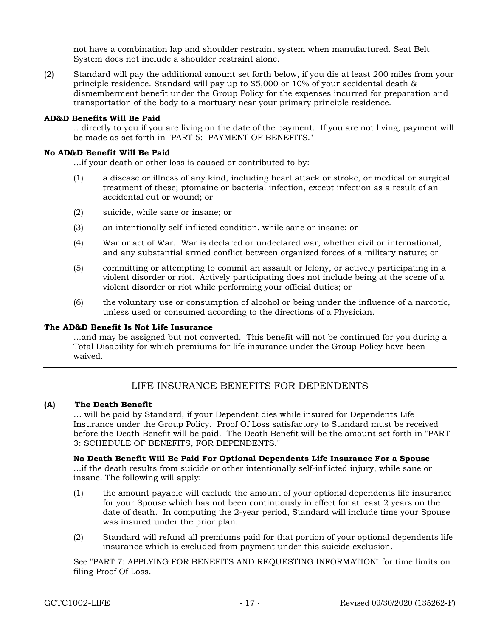not have a combination lap and shoulder restraint system when manufactured. Seat Belt System does not include a shoulder restraint alone.

(2) Standard will pay the additional amount set forth below, if you die at least 200 miles from your principle residence. Standard will pay up to \$5,000 or 10% of your accidental death & dismemberment benefit under the Group Policy for the expenses incurred for preparation and transportation of the body to a mortuary near your primary principle residence.

#### AD&D Benefits Will Be Paid

...directly to you if you are living on the date of the payment. If you are not living, payment will be made as set forth in "PART 5: PAYMENT OF BENEFITS."

#### No AD&D Benefit Will Be Paid

...if your death or other loss is caused or contributed to by:

- (1) a disease or illness of any kind, including heart attack or stroke, or medical or surgical treatment of these; ptomaine or bacterial infection, except infection as a result of an accidental cut or wound; or
- (2) suicide, while sane or insane; or
- (3) an intentionally self-inflicted condition, while sane or insane; or
- (4) War or act of War. War is declared or undeclared war, whether civil or international, and any substantial armed conflict between organized forces of a military nature; or
- (5) committing or attempting to commit an assault or felony, or actively participating in a violent disorder or riot. Actively participating does not include being at the scene of a violent disorder or riot while performing your official duties; or
- (6) the voluntary use or consumption of alcohol or being under the influence of a narcotic, unless used or consumed according to the directions of a Physician.

#### The AD&D Benefit Is Not Life Insurance

...and may be assigned but not converted. This benefit will not be continued for you during a Total Disability for which premiums for life insurance under the Group Policy have been waived.

# LIFE INSURANCE BENEFITS FOR DEPENDENTS

#### (A) The Death Benefit

… will be paid by Standard, if your Dependent dies while insured for Dependents Life Insurance under the Group Policy. Proof Of Loss satisfactory to Standard must be received before the Death Benefit will be paid. The Death Benefit will be the amount set forth in "PART 3: SCHEDULE OF BENEFITS, FOR DEPENDENTS."

#### No Death Benefit Will Be Paid For Optional Dependents Life Insurance For a Spouse

...if the death results from suicide or other intentionally self-inflicted injury, while sane or insane. The following will apply:

- (1) the amount payable will exclude the amount of your optional dependents life insurance for your Spouse which has not been continuously in effect for at least 2 years on the date of death. In computing the 2-year period, Standard will include time your Spouse was insured under the prior plan.
- (2) Standard will refund all premiums paid for that portion of your optional dependents life insurance which is excluded from payment under this suicide exclusion.

See "PART 7: APPLYING FOR BENEFITS AND REQUESTING INFORMATION" for time limits on filing Proof Of Loss.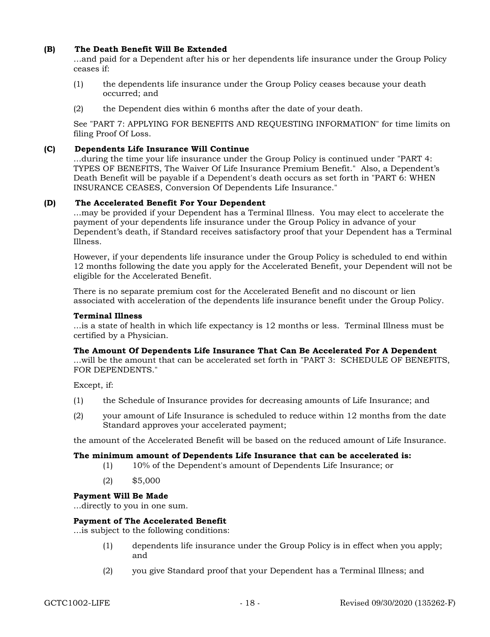### (B) The Death Benefit Will Be Extended

…and paid for a Dependent after his or her dependents life insurance under the Group Policy ceases if:

- (1) the dependents life insurance under the Group Policy ceases because your death occurred; and
- (2) the Dependent dies within 6 months after the date of your death.

See "PART 7: APPLYING FOR BENEFITS AND REQUESTING INFORMATION" for time limits on filing Proof Of Loss.

### (C) Dependents Life Insurance Will Continue

...during the time your life insurance under the Group Policy is continued under "PART 4: TYPES OF BENEFITS, The Waiver Of Life Insurance Premium Benefit." Also, a Dependent's Death Benefit will be payable if a Dependent's death occurs as set forth in "PART 6: WHEN INSURANCE CEASES, Conversion Of Dependents Life Insurance."

#### (D) The Accelerated Benefit For Your Dependent

...may be provided if your Dependent has a Terminal Illness. You may elect to accelerate the payment of your dependents life insurance under the Group Policy in advance of your Dependent's death, if Standard receives satisfactory proof that your Dependent has a Terminal Illness.

However, if your dependents life insurance under the Group Policy is scheduled to end within 12 months following the date you apply for the Accelerated Benefit, your Dependent will not be eligible for the Accelerated Benefit.

There is no separate premium cost for the Accelerated Benefit and no discount or lien associated with acceleration of the dependents life insurance benefit under the Group Policy.

#### Terminal Illness

...is a state of health in which life expectancy is 12 months or less. Terminal Illness must be certified by a Physician.

### The Amount Of Dependents Life Insurance That Can Be Accelerated For A Dependent

...will be the amount that can be accelerated set forth in "PART 3: SCHEDULE OF BENEFITS, FOR DEPENDENTS."

Except, if:

- (1) the Schedule of Insurance provides for decreasing amounts of Life Insurance; and
- (2) your amount of Life Insurance is scheduled to reduce within 12 months from the date Standard approves your accelerated payment;

the amount of the Accelerated Benefit will be based on the reduced amount of Life Insurance.

#### The minimum amount of Dependents Life Insurance that can be accelerated is:

- (1) 10% of the Dependent's amount of Dependents Life Insurance; or
- (2) \$5,000

#### Payment Will Be Made

...directly to you in one sum.

#### Payment of The Accelerated Benefit

...is subject to the following conditions:

- (1) dependents life insurance under the Group Policy is in effect when you apply; and
- (2) you give Standard proof that your Dependent has a Terminal Illness; and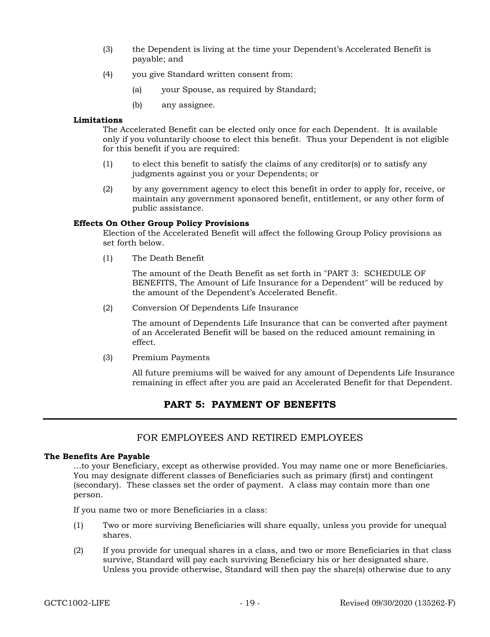- (3) the Dependent is living at the time your Dependent's Accelerated Benefit is payable; and
- (4) you give Standard written consent from:
	- (a) your Spouse, as required by Standard;
	- (b) any assignee.

### Limitations

The Accelerated Benefit can be elected only once for each Dependent. It is available only if you voluntarily choose to elect this benefit. Thus your Dependent is not eligible for this benefit if you are required:

- (1) to elect this benefit to satisfy the claims of any creditor(s) or to satisfy any judgments against you or your Dependents; or
- (2) by any government agency to elect this benefit in order to apply for, receive, or maintain any government sponsored benefit, entitlement, or any other form of public assistance.

### Effects On Other Group Policy Provisions

Election of the Accelerated Benefit will affect the following Group Policy provisions as set forth below.

(1) The Death Benefit

The amount of the Death Benefit as set forth in "PART 3: SCHEDULE OF BENEFITS, The Amount of Life Insurance for a Dependent" will be reduced by the amount of the Dependent's Accelerated Benefit.

(2) Conversion Of Dependents Life Insurance

The amount of Dependents Life Insurance that can be converted after payment of an Accelerated Benefit will be based on the reduced amount remaining in effect.

(3) Premium Payments

All future premiums will be waived for any amount of Dependents Life Insurance remaining in effect after you are paid an Accelerated Benefit for that Dependent.

# PART 5: PAYMENT OF BENEFITS

# FOR EMPLOYEES AND RETIRED EMPLOYEES

#### The Benefits Are Payable

...to your Beneficiary, except as otherwise provided. You may name one or more Beneficiaries. You may designate different classes of Beneficiaries such as primary (first) and contingent (secondary). These classes set the order of payment. A class may contain more than one person.

If you name two or more Beneficiaries in a class:

- (1) Two or more surviving Beneficiaries will share equally, unless you provide for unequal shares.
- (2) If you provide for unequal shares in a class, and two or more Beneficiaries in that class survive, Standard will pay each surviving Beneficiary his or her designated share. Unless you provide otherwise, Standard will then pay the share(s) otherwise due to any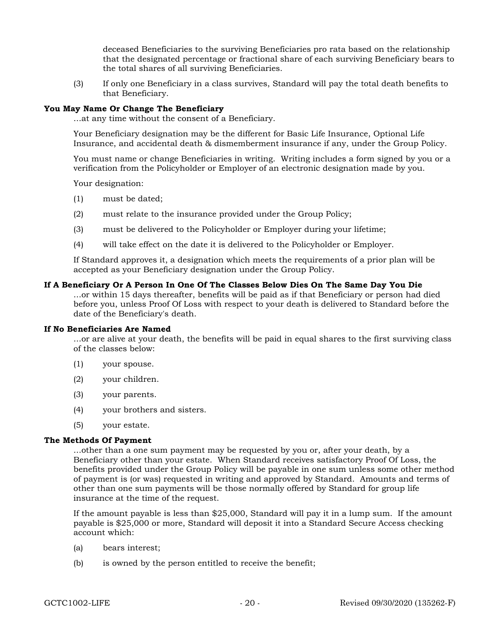deceased Beneficiaries to the surviving Beneficiaries pro rata based on the relationship that the designated percentage or fractional share of each surviving Beneficiary bears to the total shares of all surviving Beneficiaries.

(3) If only one Beneficiary in a class survives, Standard will pay the total death benefits to that Beneficiary.

#### You May Name Or Change The Beneficiary

...at any time without the consent of a Beneficiary.

Your Beneficiary designation may be the different for Basic Life Insurance, Optional Life Insurance, and accidental death & dismemberment insurance if any, under the Group Policy.

You must name or change Beneficiaries in writing. Writing includes a form signed by you or a verification from the Policyholder or Employer of an electronic designation made by you.

Your designation:

- (1) must be dated;
- (2) must relate to the insurance provided under the Group Policy;
- (3) must be delivered to the Policyholder or Employer during your lifetime;
- (4) will take effect on the date it is delivered to the Policyholder or Employer.

If Standard approves it, a designation which meets the requirements of a prior plan will be accepted as your Beneficiary designation under the Group Policy.

#### If A Beneficiary Or A Person In One Of The Classes Below Dies On The Same Day You Die

...or within 15 days thereafter, benefits will be paid as if that Beneficiary or person had died before you, unless Proof Of Loss with respect to your death is delivered to Standard before the date of the Beneficiary's death.

#### If No Beneficiaries Are Named

...or are alive at your death, the benefits will be paid in equal shares to the first surviving class of the classes below:

- (1) your spouse.
- (2) your children.
- (3) your parents.
- (4) your brothers and sisters.
- (5) your estate.

#### The Methods Of Payment

...other than a one sum payment may be requested by you or, after your death, by a Beneficiary other than your estate. When Standard receives satisfactory Proof Of Loss, the benefits provided under the Group Policy will be payable in one sum unless some other method of payment is (or was) requested in writing and approved by Standard. Amounts and terms of other than one sum payments will be those normally offered by Standard for group life insurance at the time of the request.

If the amount payable is less than \$25,000, Standard will pay it in a lump sum. If the amount payable is \$25,000 or more, Standard will deposit it into a Standard Secure Access checking account which:

- (a) bears interest;
- (b) is owned by the person entitled to receive the benefit;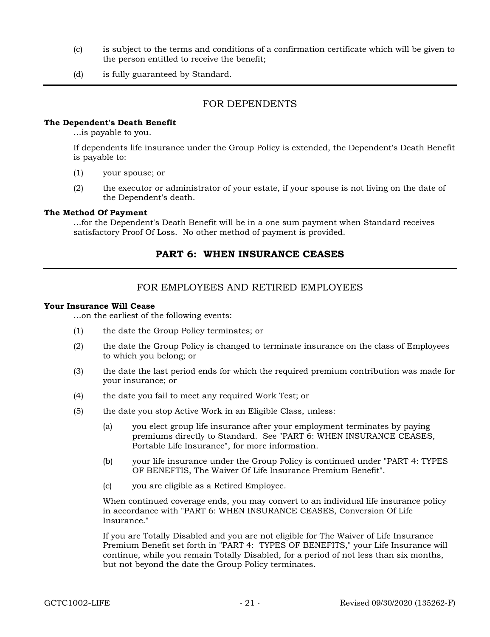- (c) is subject to the terms and conditions of a confirmation certificate which will be given to the person entitled to receive the benefit;
- (d) is fully guaranteed by Standard.

# FOR DEPENDENTS

#### The Dependent's Death Benefit

...is payable to you.

If dependents life insurance under the Group Policy is extended, the Dependent's Death Benefit is payable to:

- (1) your spouse; or
- (2) the executor or administrator of your estate, if your spouse is not living on the date of the Dependent's death.

#### The Method Of Payment

...for the Dependent's Death Benefit will be in a one sum payment when Standard receives satisfactory Proof Of Loss. No other method of payment is provided.

### PART 6: WHEN INSURANCE CEASES

# FOR EMPLOYEES AND RETIRED EMPLOYEES

#### Your Insurance Will Cease

...on the earliest of the following events:

- (1) the date the Group Policy terminates; or
- (2) the date the Group Policy is changed to terminate insurance on the class of Employees to which you belong; or
- (3) the date the last period ends for which the required premium contribution was made for your insurance; or
- (4) the date you fail to meet any required Work Test; or
- (5) the date you stop Active Work in an Eligible Class, unless:
	- (a) you elect group life insurance after your employment terminates by paying premiums directly to Standard. See "PART 6: WHEN INSURANCE CEASES, Portable Life Insurance", for more information.
	- (b) your life insurance under the Group Policy is continued under "PART 4: TYPES OF BENEFTIS, The Waiver Of Life Insurance Premium Benefit".
	- (c) you are eligible as a Retired Employee.

When continued coverage ends, you may convert to an individual life insurance policy in accordance with "PART 6: WHEN INSURANCE CEASES, Conversion Of Life Insurance."

If you are Totally Disabled and you are not eligible for The Waiver of Life Insurance Premium Benefit set forth in "PART 4: TYPES OF BENEFITS," your Life Insurance will continue, while you remain Totally Disabled, for a period of not less than six months, but not beyond the date the Group Policy terminates.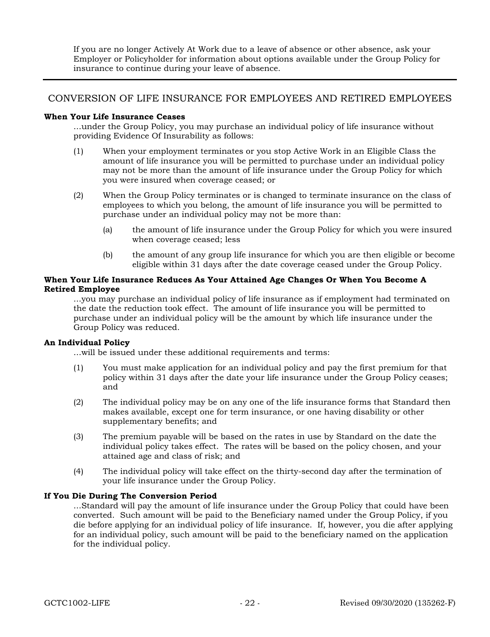If you are no longer Actively At Work due to a leave of absence or other absence, ask your Employer or Policyholder for information about options available under the Group Policy for insurance to continue during your leave of absence.

# CONVERSION OF LIFE INSURANCE FOR EMPLOYEES AND RETIRED EMPLOYEES

### When Your Life Insurance Ceases

...under the Group Policy, you may purchase an individual policy of life insurance without providing Evidence Of Insurability as follows:

- (1) When your employment terminates or you stop Active Work in an Eligible Class the amount of life insurance you will be permitted to purchase under an individual policy may not be more than the amount of life insurance under the Group Policy for which you were insured when coverage ceased; or
- (2) When the Group Policy terminates or is changed to terminate insurance on the class of employees to which you belong, the amount of life insurance you will be permitted to purchase under an individual policy may not be more than:
	- (a) the amount of life insurance under the Group Policy for which you were insured when coverage ceased; less
	- (b) the amount of any group life insurance for which you are then eligible or become eligible within 31 days after the date coverage ceased under the Group Policy.

### When Your Life Insurance Reduces As Your Attained Age Changes Or When You Become A Retired Employee

...you may purchase an individual policy of life insurance as if employment had terminated on the date the reduction took effect. The amount of life insurance you will be permitted to purchase under an individual policy will be the amount by which life insurance under the Group Policy was reduced.

### An Individual Policy

...will be issued under these additional requirements and terms:

- (1) You must make application for an individual policy and pay the first premium for that policy within 31 days after the date your life insurance under the Group Policy ceases; and
- (2) The individual policy may be on any one of the life insurance forms that Standard then makes available, except one for term insurance, or one having disability or other supplementary benefits; and
- (3) The premium payable will be based on the rates in use by Standard on the date the individual policy takes effect. The rates will be based on the policy chosen, and your attained age and class of risk; and
- (4) The individual policy will take effect on the thirty-second day after the termination of your life insurance under the Group Policy.

### If You Die During The Conversion Period

...Standard will pay the amount of life insurance under the Group Policy that could have been converted. Such amount will be paid to the Beneficiary named under the Group Policy, if you die before applying for an individual policy of life insurance. If, however, you die after applying for an individual policy, such amount will be paid to the beneficiary named on the application for the individual policy.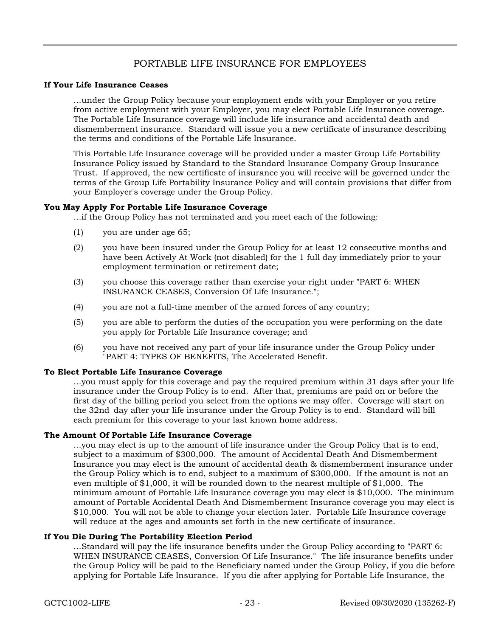# PORTABLE LIFE INSURANCE FOR EMPLOYEES

### If Your Life Insurance Ceases

...under the Group Policy because your employment ends with your Employer or you retire from active employment with your Employer, you may elect Portable Life Insurance coverage. The Portable Life Insurance coverage will include life insurance and accidental death and dismemberment insurance. Standard will issue you a new certificate of insurance describing the terms and conditions of the Portable Life Insurance.

This Portable Life Insurance coverage will be provided under a master Group Life Portability Insurance Policy issued by Standard to the Standard Insurance Company Group Insurance Trust. If approved, the new certificate of insurance you will receive will be governed under the terms of the Group Life Portability Insurance Policy and will contain provisions that differ from your Employer's coverage under the Group Policy.

### You May Apply For Portable Life Insurance Coverage

...if the Group Policy has not terminated and you meet each of the following:

- (1) you are under age 65;
- (2) you have been insured under the Group Policy for at least 12 consecutive months and have been Actively At Work (not disabled) for the 1 full day immediately prior to your employment termination or retirement date;
- (3) you choose this coverage rather than exercise your right under "PART 6: WHEN INSURANCE CEASES, Conversion Of Life Insurance.";
- (4) you are not a full-time member of the armed forces of any country;
- (5) you are able to perform the duties of the occupation you were performing on the date you apply for Portable Life Insurance coverage; and
- (6) you have not received any part of your life insurance under the Group Policy under "PART 4: TYPES OF BENEFITS, The Accelerated Benefit.

### To Elect Portable Life Insurance Coverage

...you must apply for this coverage and pay the required premium within 31 days after your life insurance under the Group Policy is to end. After that, premiums are paid on or before the first day of the billing period you select from the options we may offer. Coverage will start on the 32nd day after your life insurance under the Group Policy is to end. Standard will bill each premium for this coverage to your last known home address.

### The Amount Of Portable Life Insurance Coverage

...you may elect is up to the amount of life insurance under the Group Policy that is to end, subject to a maximum of \$300,000. The amount of Accidental Death And Dismemberment Insurance you may elect is the amount of accidental death & dismemberment insurance under the Group Policy which is to end, subject to a maximum of \$300,000. If the amount is not an even multiple of \$1,000, it will be rounded down to the nearest multiple of \$1,000. The minimum amount of Portable Life Insurance coverage you may elect is \$10,000. The minimum amount of Portable Accidental Death And Dismemberment Insurance coverage you may elect is \$10,000. You will not be able to change your election later. Portable Life Insurance coverage will reduce at the ages and amounts set forth in the new certificate of insurance.

#### If You Die During The Portability Election Period

...Standard will pay the life insurance benefits under the Group Policy according to "PART 6: WHEN INSURANCE CEASES, Conversion Of Life Insurance." The life insurance benefits under the Group Policy will be paid to the Beneficiary named under the Group Policy, if you die before applying for Portable Life Insurance. If you die after applying for Portable Life Insurance, the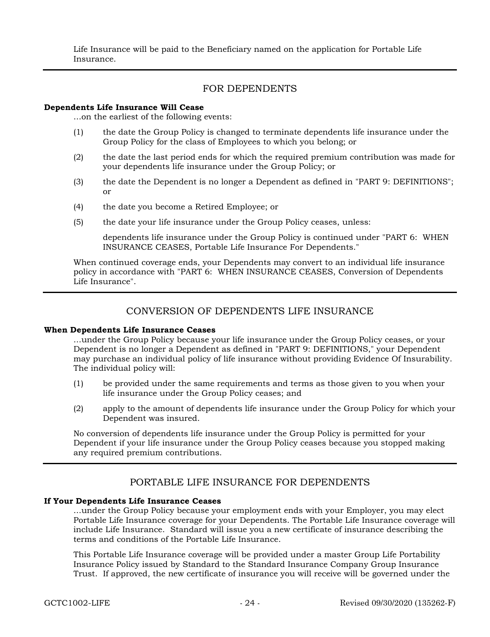Life Insurance will be paid to the Beneficiary named on the application for Portable Life Insurance.

# FOR DEPENDENTS

#### Dependents Life Insurance Will Cease

...on the earliest of the following events:

- (1) the date the Group Policy is changed to terminate dependents life insurance under the Group Policy for the class of Employees to which you belong; or
- (2) the date the last period ends for which the required premium contribution was made for your dependents life insurance under the Group Policy; or
- (3) the date the Dependent is no longer a Dependent as defined in "PART 9: DEFINITIONS"; or
- (4) the date you become a Retired Employee; or
- (5) the date your life insurance under the Group Policy ceases, unless:

dependents life insurance under the Group Policy is continued under "PART 6: WHEN INSURANCE CEASES, Portable Life Insurance For Dependents."

When continued coverage ends, your Dependents may convert to an individual life insurance policy in accordance with "PART 6: WHEN INSURANCE CEASES, Conversion of Dependents Life Insurance".

# CONVERSION OF DEPENDENTS LIFE INSURANCE

#### When Dependents Life Insurance Ceases

...under the Group Policy because your life insurance under the Group Policy ceases, or your Dependent is no longer a Dependent as defined in "PART 9: DEFINITIONS," your Dependent may purchase an individual policy of life insurance without providing Evidence Of Insurability. The individual policy will:

- (1) be provided under the same requirements and terms as those given to you when your life insurance under the Group Policy ceases; and
- (2) apply to the amount of dependents life insurance under the Group Policy for which your Dependent was insured.

No conversion of dependents life insurance under the Group Policy is permitted for your Dependent if your life insurance under the Group Policy ceases because you stopped making any required premium contributions.

# PORTABLE LIFE INSURANCE FOR DEPENDENTS

### If Your Dependents Life Insurance Ceases

...under the Group Policy because your employment ends with your Employer, you may elect Portable Life Insurance coverage for your Dependents. The Portable Life Insurance coverage will include Life Insurance. Standard will issue you a new certificate of insurance describing the terms and conditions of the Portable Life Insurance.

This Portable Life Insurance coverage will be provided under a master Group Life Portability Insurance Policy issued by Standard to the Standard Insurance Company Group Insurance Trust. If approved, the new certificate of insurance you will receive will be governed under the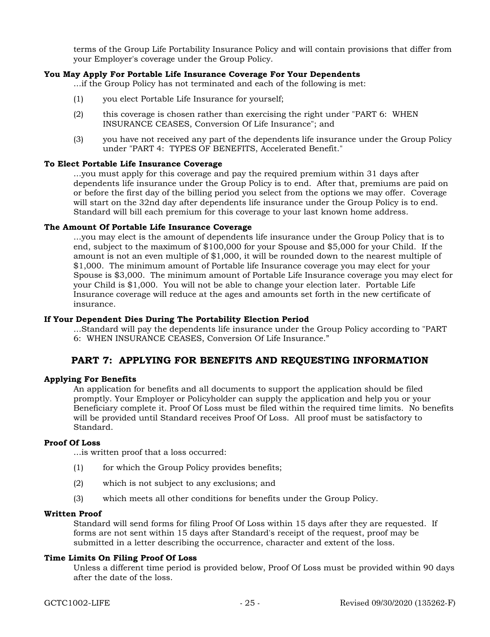terms of the Group Life Portability Insurance Policy and will contain provisions that differ from your Employer's coverage under the Group Policy.

#### You May Apply For Portable Life Insurance Coverage For Your Dependents

...if the Group Policy has not terminated and each of the following is met:

- (1) you elect Portable Life Insurance for yourself;
- (2) this coverage is chosen rather than exercising the right under "PART 6: WHEN INSURANCE CEASES, Conversion Of Life Insurance"; and
- (3) you have not received any part of the dependents life insurance under the Group Policy under "PART 4: TYPES OF BENEFITS, Accelerated Benefit."

#### To Elect Portable Life Insurance Coverage

...you must apply for this coverage and pay the required premium within 31 days after dependents life insurance under the Group Policy is to end. After that, premiums are paid on or before the first day of the billing period you select from the options we may offer. Coverage will start on the 32nd day after dependents life insurance under the Group Policy is to end. Standard will bill each premium for this coverage to your last known home address.

#### The Amount Of Portable Life Insurance Coverage

...you may elect is the amount of dependents life insurance under the Group Policy that is to end, subject to the maximum of \$100,000 for your Spouse and \$5,000 for your Child. If the amount is not an even multiple of \$1,000, it will be rounded down to the nearest multiple of \$1,000. The minimum amount of Portable life Insurance coverage you may elect for your Spouse is \$3,000. The minimum amount of Portable Life Insurance coverage you may elect for your Child is \$1,000. You will not be able to change your election later. Portable Life Insurance coverage will reduce at the ages and amounts set forth in the new certificate of insurance.

#### If Your Dependent Dies During The Portability Election Period

...Standard will pay the dependents life insurance under the Group Policy according to "PART 6: WHEN INSURANCE CEASES, Conversion Of Life Insurance."

### PART 7: APPLYING FOR BENEFITS AND REQUESTING INFORMATION

### Applying For Benefits

An application for benefits and all documents to support the application should be filed promptly. Your Employer or Policyholder can supply the application and help you or your Beneficiary complete it. Proof Of Loss must be filed within the required time limits. No benefits will be provided until Standard receives Proof Of Loss. All proof must be satisfactory to Standard.

#### Proof Of Loss

...is written proof that a loss occurred:

- (1) for which the Group Policy provides benefits;
- (2) which is not subject to any exclusions; and
- (3) which meets all other conditions for benefits under the Group Policy.

#### Written Proof

Standard will send forms for filing Proof Of Loss within 15 days after they are requested. If forms are not sent within 15 days after Standard's receipt of the request, proof may be submitted in a letter describing the occurrence, character and extent of the loss.

#### Time Limits On Filing Proof Of Loss

Unless a different time period is provided below, Proof Of Loss must be provided within 90 days after the date of the loss.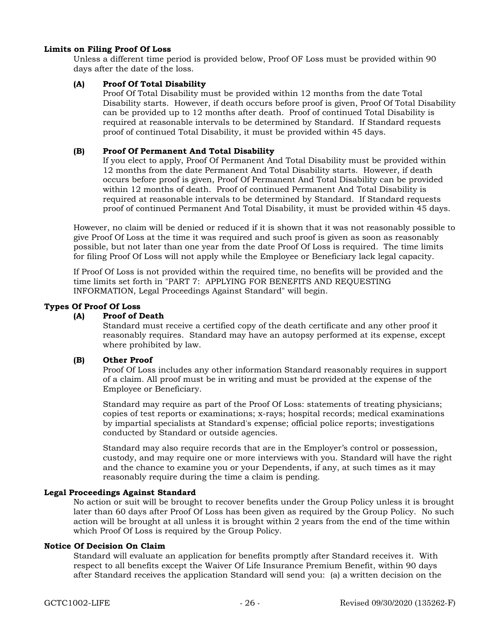### Limits on Filing Proof Of Loss

Unless a different time period is provided below, Proof OF Loss must be provided within 90 days after the date of the loss.

### (A) Proof Of Total Disability

Proof Of Total Disability must be provided within 12 months from the date Total Disability starts. However, if death occurs before proof is given, Proof Of Total Disability can be provided up to 12 months after death. Proof of continued Total Disability is required at reasonable intervals to be determined by Standard. If Standard requests proof of continued Total Disability, it must be provided within 45 days.

### (B) Proof Of Permanent And Total Disability

If you elect to apply, Proof Of Permanent And Total Disability must be provided within 12 months from the date Permanent And Total Disability starts. However, if death occurs before proof is given, Proof Of Permanent And Total Disability can be provided within 12 months of death. Proof of continued Permanent And Total Disability is required at reasonable intervals to be determined by Standard. If Standard requests proof of continued Permanent And Total Disability, it must be provided within 45 days.

However, no claim will be denied or reduced if it is shown that it was not reasonably possible to give Proof Of Loss at the time it was required and such proof is given as soon as reasonably possible, but not later than one year from the date Proof Of Loss is required. The time limits for filing Proof Of Loss will not apply while the Employee or Beneficiary lack legal capacity.

If Proof Of Loss is not provided within the required time, no benefits will be provided and the time limits set forth in "PART 7: APPLYING FOR BENEFITS AND REQUESTING INFORMATION, Legal Proceedings Against Standard" will begin.

### Types Of Proof Of Loss

### (A) Proof of Death

Standard must receive a certified copy of the death certificate and any other proof it reasonably requires. Standard may have an autopsy performed at its expense, except where prohibited by law.

#### (B) Other Proof

Proof Of Loss includes any other information Standard reasonably requires in support of a claim. All proof must be in writing and must be provided at the expense of the Employee or Beneficiary.

Standard may require as part of the Proof Of Loss: statements of treating physicians; copies of test reports or examinations; x-rays; hospital records; medical examinations by impartial specialists at Standard's expense; official police reports; investigations conducted by Standard or outside agencies.

Standard may also require records that are in the Employer's control or possession, custody, and may require one or more interviews with you. Standard will have the right and the chance to examine you or your Dependents, if any, at such times as it may reasonably require during the time a claim is pending.

#### Legal Proceedings Against Standard

No action or suit will be brought to recover benefits under the Group Policy unless it is brought later than 60 days after Proof Of Loss has been given as required by the Group Policy. No such action will be brought at all unless it is brought within 2 years from the end of the time within which Proof Of Loss is required by the Group Policy.

### Notice Of Decision On Claim

Standard will evaluate an application for benefits promptly after Standard receives it. With respect to all benefits except the Waiver Of Life Insurance Premium Benefit, within 90 days after Standard receives the application Standard will send you: (a) a written decision on the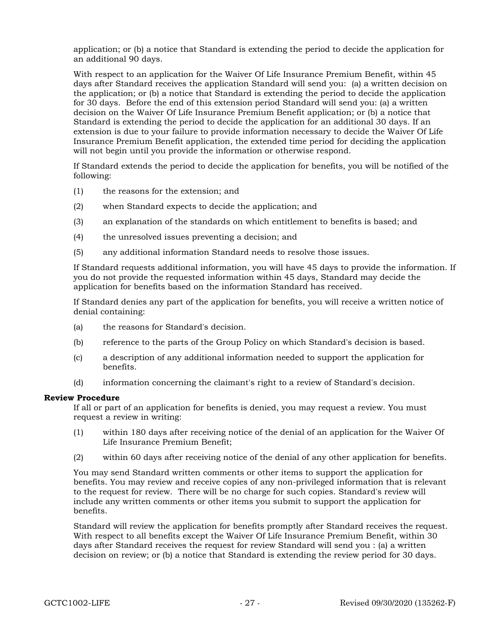application; or (b) a notice that Standard is extending the period to decide the application for an additional 90 days.

With respect to an application for the Waiver Of Life Insurance Premium Benefit, within 45 days after Standard receives the application Standard will send you: (a) a written decision on the application; or (b) a notice that Standard is extending the period to decide the application for 30 days. Before the end of this extension period Standard will send you: (a) a written decision on the Waiver Of Life Insurance Premium Benefit application; or (b) a notice that Standard is extending the period to decide the application for an additional 30 days. If an extension is due to your failure to provide information necessary to decide the Waiver Of Life Insurance Premium Benefit application, the extended time period for deciding the application will not begin until you provide the information or otherwise respond.

If Standard extends the period to decide the application for benefits, you will be notified of the following:

- (1) the reasons for the extension; and
- (2) when Standard expects to decide the application; and
- (3) an explanation of the standards on which entitlement to benefits is based; and
- (4) the unresolved issues preventing a decision; and
- (5) any additional information Standard needs to resolve those issues.

If Standard requests additional information, you will have 45 days to provide the information. If you do not provide the requested information within 45 days, Standard may decide the application for benefits based on the information Standard has received.

If Standard denies any part of the application for benefits, you will receive a written notice of denial containing:

- (a) the reasons for Standard's decision.
- (b) reference to the parts of the Group Policy on which Standard's decision is based.
- (c) a description of any additional information needed to support the application for benefits.
- (d) information concerning the claimant's right to a review of Standard's decision.

#### Review Procedure

If all or part of an application for benefits is denied, you may request a review. You must request a review in writing:

- (1) within 180 days after receiving notice of the denial of an application for the Waiver Of Life Insurance Premium Benefit;
- (2) within 60 days after receiving notice of the denial of any other application for benefits.

You may send Standard written comments or other items to support the application for benefits. You may review and receive copies of any non-privileged information that is relevant to the request for review. There will be no charge for such copies. Standard's review will include any written comments or other items you submit to support the application for benefits.

Standard will review the application for benefits promptly after Standard receives the request. With respect to all benefits except the Waiver Of Life Insurance Premium Benefit, within 30 days after Standard receives the request for review Standard will send you : (a) a written decision on review; or (b) a notice that Standard is extending the review period for 30 days.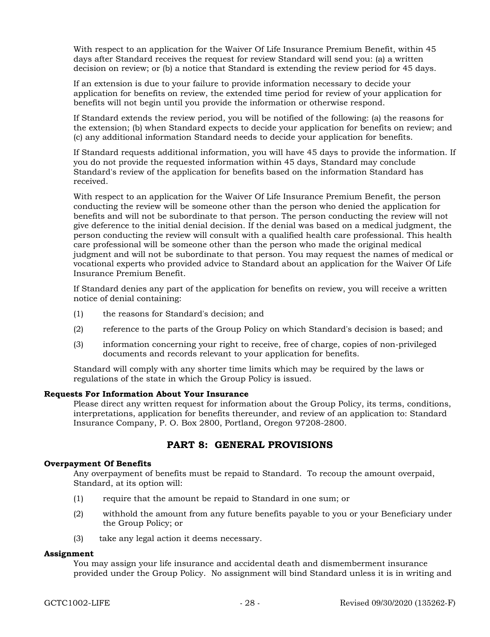With respect to an application for the Waiver Of Life Insurance Premium Benefit, within 45 days after Standard receives the request for review Standard will send you: (a) a written decision on review; or (b) a notice that Standard is extending the review period for 45 days.

If an extension is due to your failure to provide information necessary to decide your application for benefits on review, the extended time period for review of your application for benefits will not begin until you provide the information or otherwise respond.

If Standard extends the review period, you will be notified of the following: (a) the reasons for the extension; (b) when Standard expects to decide your application for benefits on review; and (c) any additional information Standard needs to decide your application for benefits.

If Standard requests additional information, you will have 45 days to provide the information. If you do not provide the requested information within 45 days, Standard may conclude Standard's review of the application for benefits based on the information Standard has received.

With respect to an application for the Waiver Of Life Insurance Premium Benefit, the person conducting the review will be someone other than the person who denied the application for benefits and will not be subordinate to that person. The person conducting the review will not give deference to the initial denial decision. If the denial was based on a medical judgment, the person conducting the review will consult with a qualified health care professional. This health care professional will be someone other than the person who made the original medical judgment and will not be subordinate to that person. You may request the names of medical or vocational experts who provided advice to Standard about an application for the Waiver Of Life Insurance Premium Benefit.

If Standard denies any part of the application for benefits on review, you will receive a written notice of denial containing:

- (1) the reasons for Standard's decision; and
- (2) reference to the parts of the Group Policy on which Standard's decision is based; and
- (3) information concerning your right to receive, free of charge, copies of non-privileged documents and records relevant to your application for benefits.

Standard will comply with any shorter time limits which may be required by the laws or regulations of the state in which the Group Policy is issued.

#### Requests For Information About Your Insurance

Please direct any written request for information about the Group Policy, its terms, conditions, interpretations, application for benefits thereunder, and review of an application to: Standard Insurance Company, P. O. Box 2800, Portland, Oregon 97208-2800.

# PART 8: GENERAL PROVISIONS

### Overpayment Of Benefits

Any overpayment of benefits must be repaid to Standard. To recoup the amount overpaid, Standard, at its option will:

- (1) require that the amount be repaid to Standard in one sum; or
- (2) withhold the amount from any future benefits payable to you or your Beneficiary under the Group Policy; or
- (3) take any legal action it deems necessary.

#### Assignment

You may assign your life insurance and accidental death and dismemberment insurance provided under the Group Policy. No assignment will bind Standard unless it is in writing and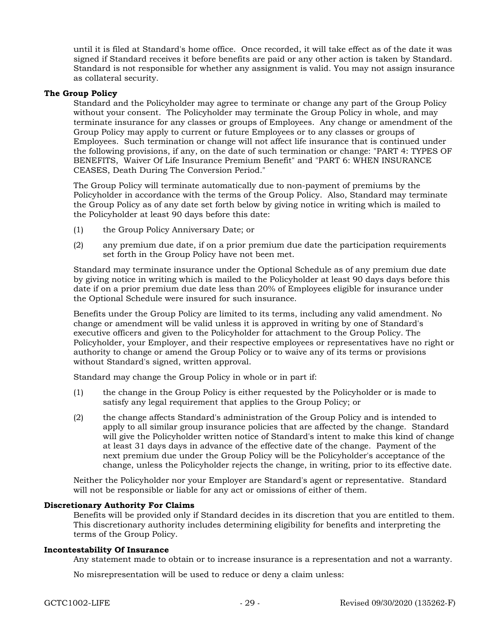until it is filed at Standard's home office. Once recorded, it will take effect as of the date it was signed if Standard receives it before benefits are paid or any other action is taken by Standard. Standard is not responsible for whether any assignment is valid. You may not assign insurance as collateral security.

#### The Group Policy

Standard and the Policyholder may agree to terminate or change any part of the Group Policy without your consent. The Policyholder may terminate the Group Policy in whole, and may terminate insurance for any classes or groups of Employees. Any change or amendment of the Group Policy may apply to current or future Employees or to any classes or groups of Employees. Such termination or change will not affect life insurance that is continued under the following provisions, if any, on the date of such termination or change: "PART 4: TYPES OF BENEFITS, Waiver Of Life Insurance Premium Benefit" and "PART 6: WHEN INSURANCE CEASES, Death During The Conversion Period."

The Group Policy will terminate automatically due to non-payment of premiums by the Policyholder in accordance with the terms of the Group Policy. Also, Standard may terminate the Group Policy as of any date set forth below by giving notice in writing which is mailed to the Policyholder at least 90 days before this date:

- (1) the Group Policy Anniversary Date; or
- (2) any premium due date, if on a prior premium due date the participation requirements set forth in the Group Policy have not been met.

Standard may terminate insurance under the Optional Schedule as of any premium due date by giving notice in writing which is mailed to the Policyholder at least 90 days days before this date if on a prior premium due date less than 20% of Employees eligible for insurance under the Optional Schedule were insured for such insurance.

Benefits under the Group Policy are limited to its terms, including any valid amendment. No change or amendment will be valid unless it is approved in writing by one of Standard's executive officers and given to the Policyholder for attachment to the Group Policy. The Policyholder, your Employer, and their respective employees or representatives have no right or authority to change or amend the Group Policy or to waive any of its terms or provisions without Standard's signed, written approval.

Standard may change the Group Policy in whole or in part if:

- (1) the change in the Group Policy is either requested by the Policyholder or is made to satisfy any legal requirement that applies to the Group Policy; or
- (2) the change affects Standard's administration of the Group Policy and is intended to apply to all similar group insurance policies that are affected by the change. Standard will give the Policyholder written notice of Standard's intent to make this kind of change at least 31 days days in advance of the effective date of the change. Payment of the next premium due under the Group Policy will be the Policyholder's acceptance of the change, unless the Policyholder rejects the change, in writing, prior to its effective date.

Neither the Policyholder nor your Employer are Standard's agent or representative. Standard will not be responsible or liable for any act or omissions of either of them.

### Discretionary Authority For Claims

Benefits will be provided only if Standard decides in its discretion that you are entitled to them. This discretionary authority includes determining eligibility for benefits and interpreting the terms of the Group Policy.

#### Incontestability Of Insurance

Any statement made to obtain or to increase insurance is a representation and not a warranty.

No misrepresentation will be used to reduce or deny a claim unless: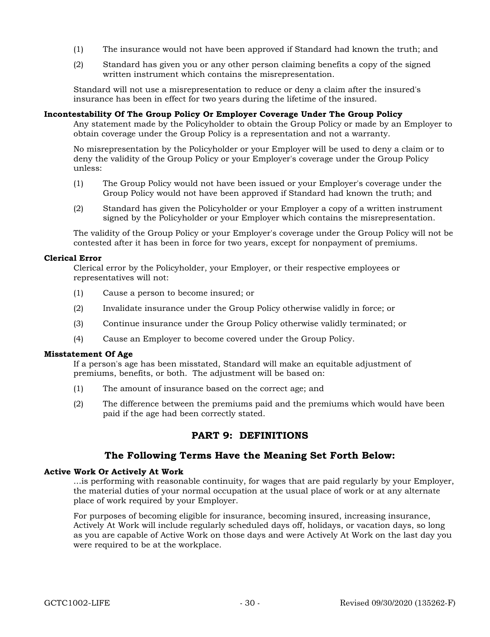- (1) The insurance would not have been approved if Standard had known the truth; and
- (2) Standard has given you or any other person claiming benefits a copy of the signed written instrument which contains the misrepresentation.

Standard will not use a misrepresentation to reduce or deny a claim after the insured's insurance has been in effect for two years during the lifetime of the insured.

#### Incontestability Of The Group Policy Or Employer Coverage Under The Group Policy

Any statement made by the Policyholder to obtain the Group Policy or made by an Employer to obtain coverage under the Group Policy is a representation and not a warranty.

No misrepresentation by the Policyholder or your Employer will be used to deny a claim or to deny the validity of the Group Policy or your Employer's coverage under the Group Policy unless:

- (1) The Group Policy would not have been issued or your Employer's coverage under the Group Policy would not have been approved if Standard had known the truth; and
- (2) Standard has given the Policyholder or your Employer a copy of a written instrument signed by the Policyholder or your Employer which contains the misrepresentation.

The validity of the Group Policy or your Employer's coverage under the Group Policy will not be contested after it has been in force for two years, except for nonpayment of premiums.

#### Clerical Error

Clerical error by the Policyholder, your Employer, or their respective employees or representatives will not:

- (1) Cause a person to become insured; or
- (2) Invalidate insurance under the Group Policy otherwise validly in force; or
- (3) Continue insurance under the Group Policy otherwise validly terminated; or
- (4) Cause an Employer to become covered under the Group Policy.

#### Misstatement Of Age

If a person's age has been misstated, Standard will make an equitable adjustment of premiums, benefits, or both. The adjustment will be based on:

- (1) The amount of insurance based on the correct age; and
- (2) The difference between the premiums paid and the premiums which would have been paid if the age had been correctly stated.

# PART 9: DEFINITIONS

### The Following Terms Have the Meaning Set Forth Below:

#### Active Work Or Actively At Work

...is performing with reasonable continuity, for wages that are paid regularly by your Employer, the material duties of your normal occupation at the usual place of work or at any alternate place of work required by your Employer.

For purposes of becoming eligible for insurance, becoming insured, increasing insurance, Actively At Work will include regularly scheduled days off, holidays, or vacation days, so long as you are capable of Active Work on those days and were Actively At Work on the last day you were required to be at the workplace.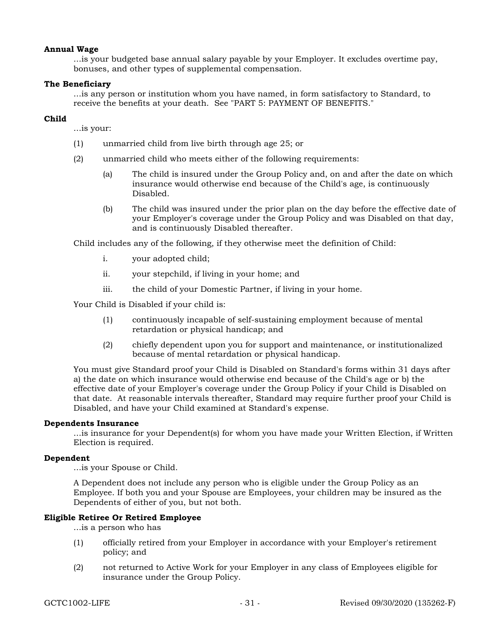#### Annual Wage

...is your budgeted base annual salary payable by your Employer. It excludes overtime pay, bonuses, and other types of supplemental compensation.

### The Beneficiary

...is any person or institution whom you have named, in form satisfactory to Standard, to receive the benefits at your death. See "PART 5: PAYMENT OF BENEFITS."

### Child

...is your:

- (1) unmarried child from live birth through age 25; or
- (2) unmarried child who meets either of the following requirements:
	- (a) The child is insured under the Group Policy and, on and after the date on which insurance would otherwise end because of the Child's age, is continuously Disabled.
	- (b) The child was insured under the prior plan on the day before the effective date of your Employer's coverage under the Group Policy and was Disabled on that day, and is continuously Disabled thereafter.

Child includes any of the following, if they otherwise meet the definition of Child:

- i. your adopted child;
- ii. your stepchild, if living in your home; and
- iii. the child of your Domestic Partner, if living in your home.

Your Child is Disabled if your child is:

- (1) continuously incapable of self-sustaining employment because of mental retardation or physical handicap; and
- (2) chiefly dependent upon you for support and maintenance, or institutionalized because of mental retardation or physical handicap.

You must give Standard proof your Child is Disabled on Standard's forms within 31 days after a) the date on which insurance would otherwise end because of the Child's age or b) the effective date of your Employer's coverage under the Group Policy if your Child is Disabled on that date. At reasonable intervals thereafter, Standard may require further proof your Child is Disabled, and have your Child examined at Standard's expense.

#### Dependents Insurance

...is insurance for your Dependent(s) for whom you have made your Written Election, if Written Election is required.

#### Dependent

...is your Spouse or Child.

A Dependent does not include any person who is eligible under the Group Policy as an Employee. If both you and your Spouse are Employees, your children may be insured as the Dependents of either of you, but not both.

### Eligible Retiree Or Retired Employee

...is a person who has

- (1) officially retired from your Employer in accordance with your Employer's retirement policy; and
- (2) not returned to Active Work for your Employer in any class of Employees eligible for insurance under the Group Policy.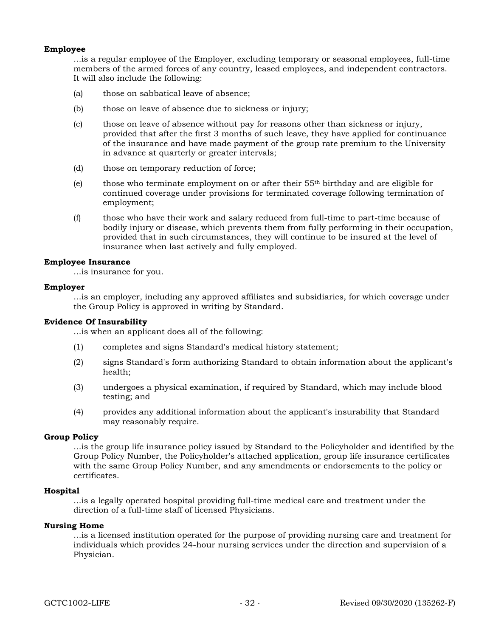### Employee

...is a regular employee of the Employer, excluding temporary or seasonal employees, full-time members of the armed forces of any country, leased employees, and independent contractors. It will also include the following:

- (a) those on sabbatical leave of absence;
- (b) those on leave of absence due to sickness or injury;
- (c) those on leave of absence without pay for reasons other than sickness or injury, provided that after the first 3 months of such leave, they have applied for continuance of the insurance and have made payment of the group rate premium to the University in advance at quarterly or greater intervals;
- (d) those on temporary reduction of force;
- (e) those who terminate employment on or after their  $55<sup>th</sup>$  birthday and are eligible for continued coverage under provisions for terminated coverage following termination of employment;
- (f) those who have their work and salary reduced from full-time to part-time because of bodily injury or disease, which prevents them from fully performing in their occupation, provided that in such circumstances, they will continue to be insured at the level of insurance when last actively and fully employed.

#### Employee Insurance

...is insurance for you.

#### Employer

...is an employer, including any approved affiliates and subsidiaries, for which coverage under the Group Policy is approved in writing by Standard.

#### Evidence Of Insurability

...is when an applicant does all of the following:

- (1) completes and signs Standard's medical history statement;
- (2) signs Standard's form authorizing Standard to obtain information about the applicant's health;
- (3) undergoes a physical examination, if required by Standard, which may include blood testing; and
- (4) provides any additional information about the applicant's insurability that Standard may reasonably require.

#### Group Policy

...is the group life insurance policy issued by Standard to the Policyholder and identified by the Group Policy Number, the Policyholder's attached application, group life insurance certificates with the same Group Policy Number, and any amendments or endorsements to the policy or certificates.

#### Hospital

...is a legally operated hospital providing full-time medical care and treatment under the direction of a full-time staff of licensed Physicians.

### Nursing Home

...is a licensed institution operated for the purpose of providing nursing care and treatment for individuals which provides 24-hour nursing services under the direction and supervision of a Physician.